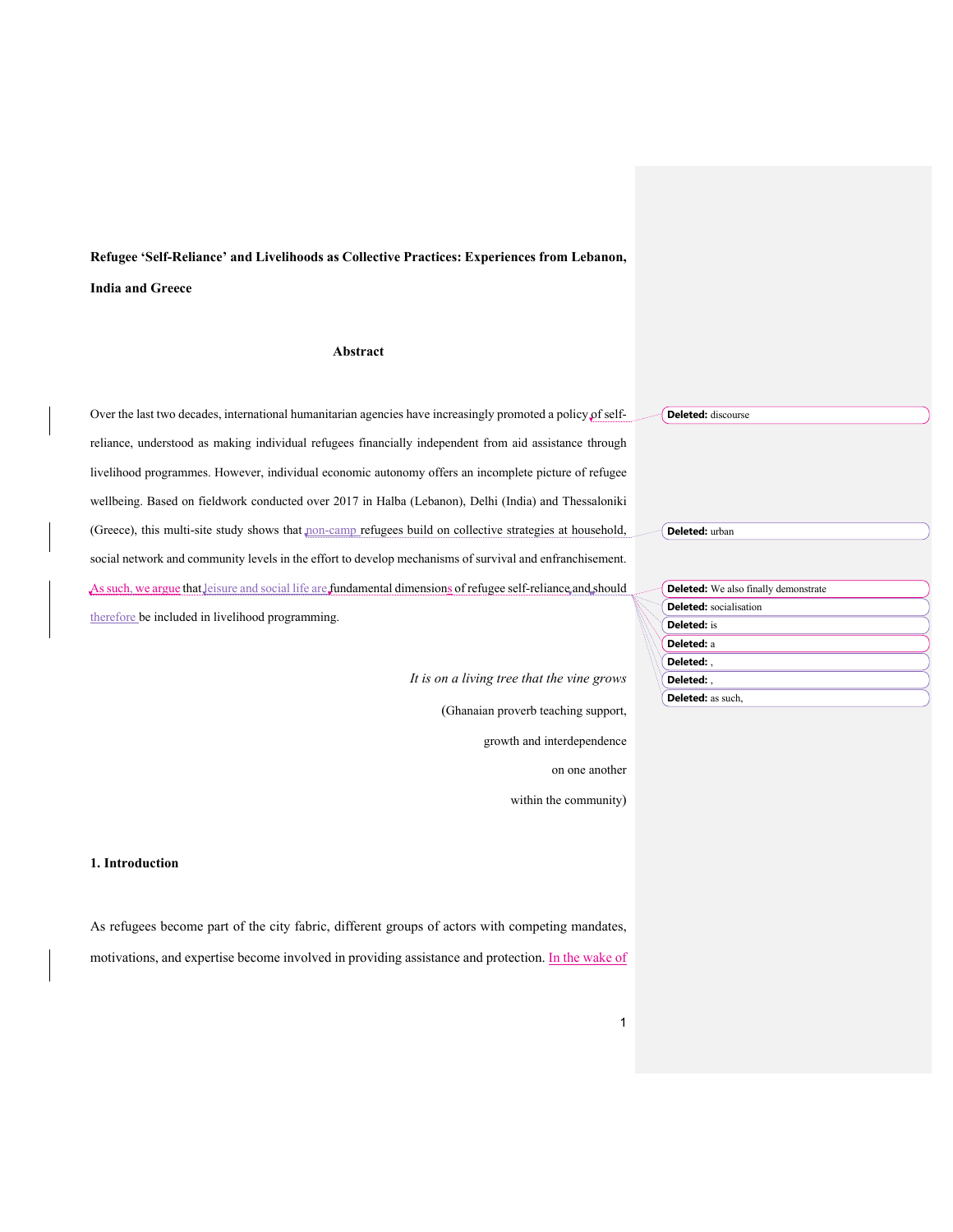**Refugee 'Self-Reliance' and Livelihoods as Collective Practices: Experiences from Lebanon, India and Greece**

## **Abstract**

Over the last two decades, international humanitarian agencies have increasingly promoted a policy of selfreliance, understood as making individual refugees financially independent from aid assistance through livelihood programmes. However, individual economic autonomy offers an incomplete picture of refugee wellbeing. Based on fieldwork conducted over 2017 in Halba (Lebanon), Delhi (India) and Thessaloniki (Greece), this multi-site study shows that non-camp refugees build on collective strategies at household, social network and community levels in the effort to develop mechanisms of survival and enfranchisement. As such, we argue that leisure and social life are fundamental dimensions of refugee self-reliance and should therefore be included in livelihood programming.

> *It is on a living tree that the vine grows* (Ghanaian proverb teaching support, growth and interdependence on one another

within the community)

## **1. Introduction**

As refugees become part of the city fabric, different groups of actors with competing mandates, motivations, and expertise become involved in providing assistance and protection. In the wake of **Deleted:** discourse

**Deleted:** urban

**Deleted:** We also finally demonstrate **Deleted:** socialisation **Deleted:** is **Deleted:** a **Deleted:** , **Deleted:** , **Deleted:** as such,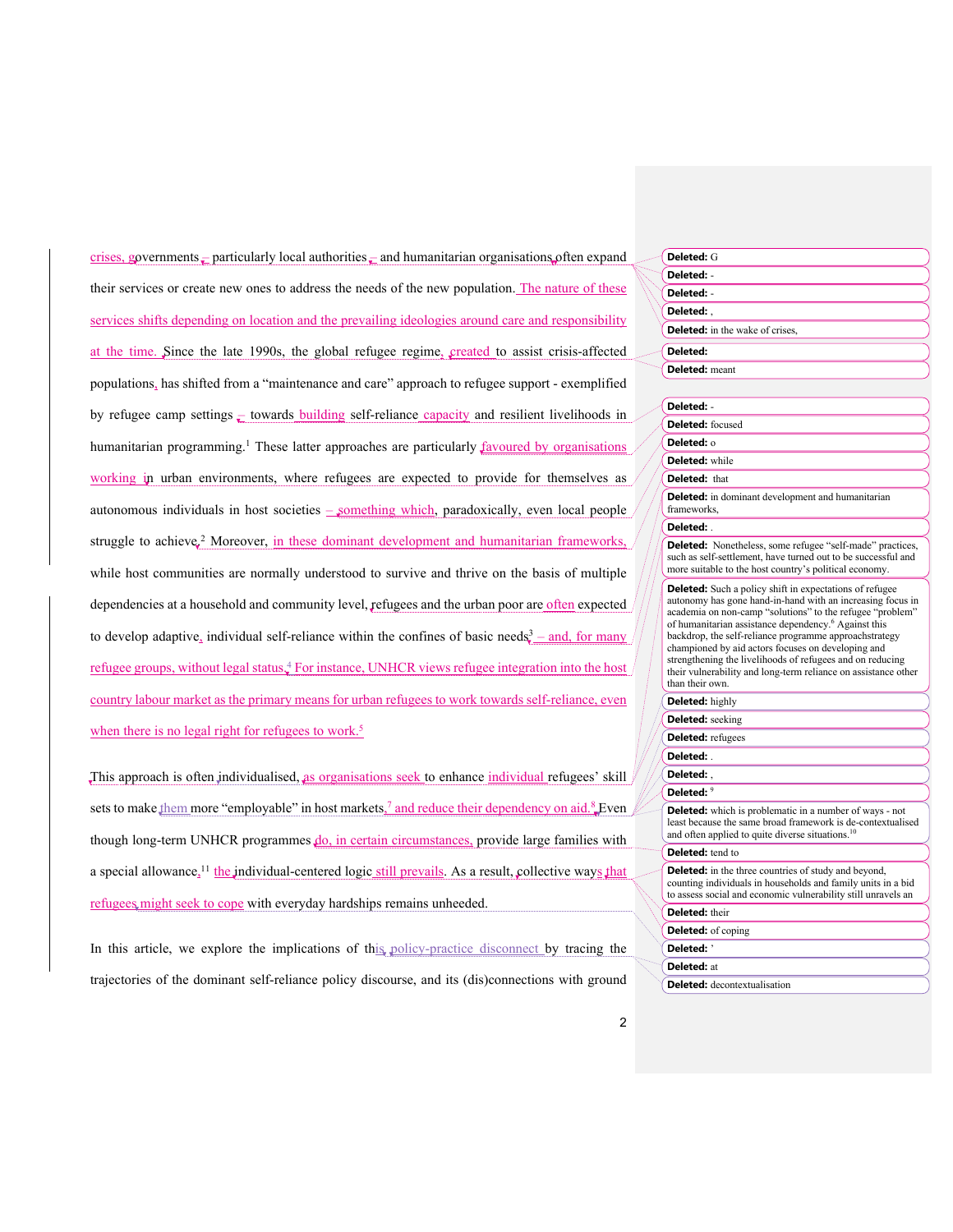crises, governments  $\frac{1}{x}$  particularly local authorities  $\frac{1}{x}$  and humanitarian organisations often expand their services or create new ones to address the needs of the new population. The nature of these services shifts depending on location and the prevailing ideologies around care and responsibility at the time. Since the late 1990s, the global refugee regime, created to assist crisis-affected populations, has shifted from a "maintenance and care" approach to refugee support - exemplified by refugee camp settings  $\epsilon$  towards building self-reliance capacity and resilient livelihoods in humanitarian programming.<sup>1</sup> These latter approaches are particularly favoured by organisations working in urban environments, where refugees are expected to provide for themselves as autonomous individuals in host societies  $\frac{1}{2}$  something which, paradoxically, even local people struggle to achieve,<sup>2</sup> Moreover, in these dominant development and humanitarian frameworks, while host communities are normally understood to survive and thrive on the basis of multiple dependencies at a household and community level, refugees and the urban poor are often expected to develop adaptive, individual self-reliance within the confines of basic needs $3 -$  and, for many refugee groups, without legal status.<sup>4</sup> For instance, UNHCR views refugee integration into the host country labour market as the primary means for urban refugees to work towards self-reliance, even when there is no legal right for refugees to work.<sup>5</sup>

This approach is often individualised, as organisations seek to enhance individual refugees' skill sets to make them more "employable" in host markets, and reduce their dependency on aid. Even though long-term UNHCR programmes  $do$ , in certain circumstances, provide large families with a special allowance, <sup>11</sup> the individual-centered logic still prevails. As a result, collective ways that refugees might seek to cope with everyday hardships remains unheeded.

In this article, we explore the implications of this policy-practice disconnect by tracing the trajectories of the dominant self-reliance policy discourse, and its (dis)connections with ground

| Deleted: G                                                                                                                                                                                                                                                                                                                                                                                                                                                                                                                      |
|---------------------------------------------------------------------------------------------------------------------------------------------------------------------------------------------------------------------------------------------------------------------------------------------------------------------------------------------------------------------------------------------------------------------------------------------------------------------------------------------------------------------------------|
| Deleted: -                                                                                                                                                                                                                                                                                                                                                                                                                                                                                                                      |
| Deleted: -                                                                                                                                                                                                                                                                                                                                                                                                                                                                                                                      |
| Deleted: .                                                                                                                                                                                                                                                                                                                                                                                                                                                                                                                      |
| <b>Deleted:</b> in the wake of crises,                                                                                                                                                                                                                                                                                                                                                                                                                                                                                          |
| Deleted:                                                                                                                                                                                                                                                                                                                                                                                                                                                                                                                        |
| <b>Deleted:</b> meant                                                                                                                                                                                                                                                                                                                                                                                                                                                                                                           |
|                                                                                                                                                                                                                                                                                                                                                                                                                                                                                                                                 |
| Deleted: -                                                                                                                                                                                                                                                                                                                                                                                                                                                                                                                      |
| Deleted: focused                                                                                                                                                                                                                                                                                                                                                                                                                                                                                                                |
| Deleted: o                                                                                                                                                                                                                                                                                                                                                                                                                                                                                                                      |
| <b>Deleted:</b> while                                                                                                                                                                                                                                                                                                                                                                                                                                                                                                           |
| <b>Deleted:</b> that                                                                                                                                                                                                                                                                                                                                                                                                                                                                                                            |
| <b>Deleted:</b> in dominant development and humanitarian<br>frameworks,                                                                                                                                                                                                                                                                                                                                                                                                                                                         |
| Deleted:                                                                                                                                                                                                                                                                                                                                                                                                                                                                                                                        |
| <b>Deleted:</b> Nonetheless, some refugee "self-made" practices,<br>such as self-settlement, have turned out to be successful and<br>more suitable to the host country's political economy.                                                                                                                                                                                                                                                                                                                                     |
| <b>Deleted:</b> Such a policy shift in expectations of refugee<br>autonomy has gone hand-in-hand with an increasing focus in<br>academia on non-camp "solutions" to the refugee "problem"<br>of humanitarian assistance dependency. <sup>6</sup> Against this<br>backdrop, the self-reliance programme approachstrategy<br>championed by aid actors focuses on developing and<br>strengthening the livelihoods of refugees and on reducing<br>their vulnerability and long-term reliance on assistance other<br>than their own. |
| <b>Deleted:</b> highly                                                                                                                                                                                                                                                                                                                                                                                                                                                                                                          |
| <b>Deleted:</b> seeking                                                                                                                                                                                                                                                                                                                                                                                                                                                                                                         |
| <b>Deleted:</b> refugees                                                                                                                                                                                                                                                                                                                                                                                                                                                                                                        |
| Deleted: .                                                                                                                                                                                                                                                                                                                                                                                                                                                                                                                      |
| Deleted: .                                                                                                                                                                                                                                                                                                                                                                                                                                                                                                                      |
| Deleted: 9                                                                                                                                                                                                                                                                                                                                                                                                                                                                                                                      |
| <b>Deleted:</b> which is problematic in a number of ways - not<br>least because the same broad framework is de-contextualised<br>and often applied to quite diverse situations. <sup>10</sup>                                                                                                                                                                                                                                                                                                                                   |
| <b>Deleted:</b> tend to                                                                                                                                                                                                                                                                                                                                                                                                                                                                                                         |
| <b>Deleted:</b> in the three countries of study and beyond,<br>counting individuals in households and family units in a bid<br>to assess social and economic vulnerability still unravels an                                                                                                                                                                                                                                                                                                                                    |
| Deleted: their                                                                                                                                                                                                                                                                                                                                                                                                                                                                                                                  |
| <b>Deleted:</b> of coping                                                                                                                                                                                                                                                                                                                                                                                                                                                                                                       |
| Deleted: '                                                                                                                                                                                                                                                                                                                                                                                                                                                                                                                      |
| Deleted: at                                                                                                                                                                                                                                                                                                                                                                                                                                                                                                                     |
| <b>Deleted:</b> decontextualisation                                                                                                                                                                                                                                                                                                                                                                                                                                                                                             |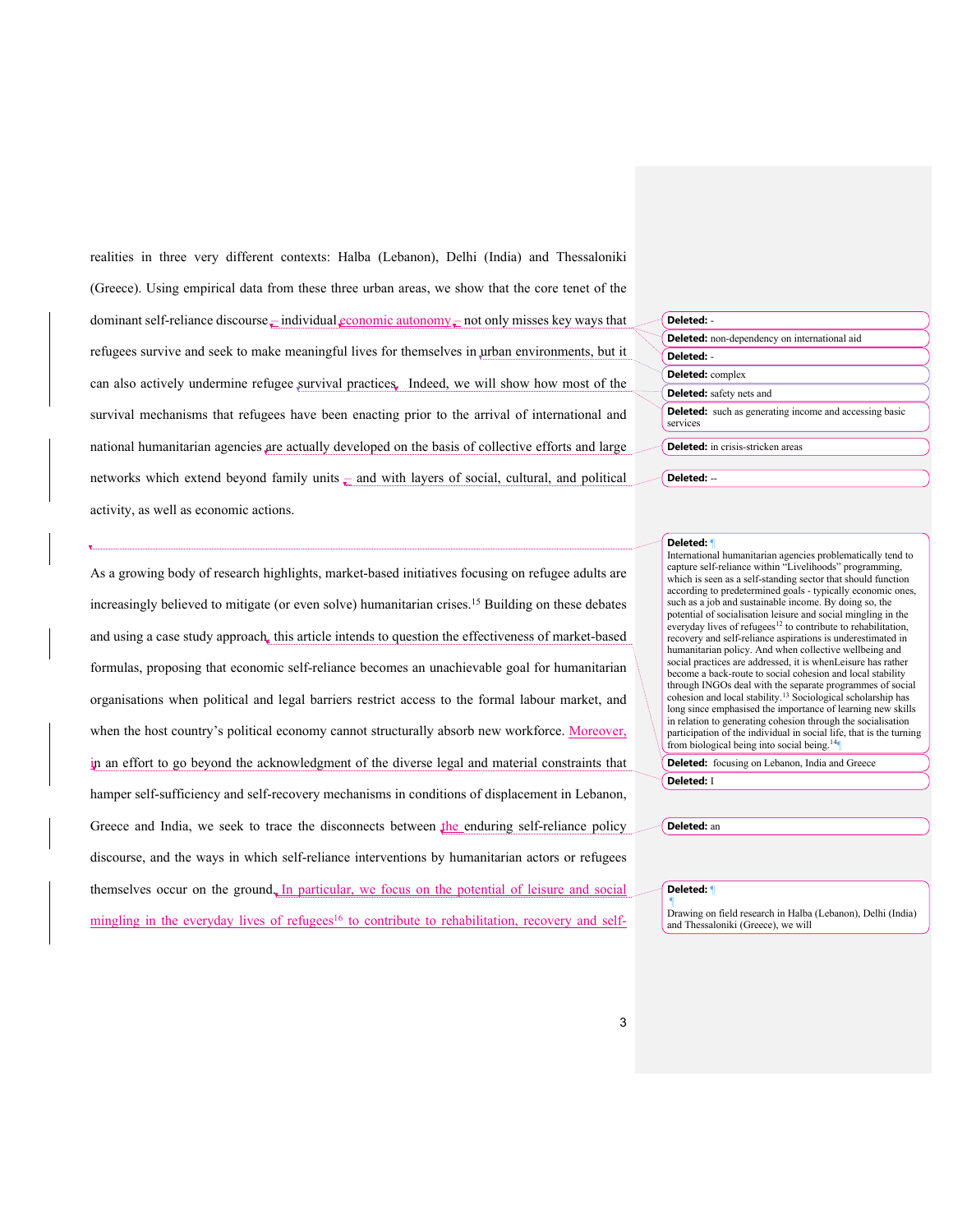realities in three very different contexts: Halba (Lebanon), Delhi (India) and Thessaloniki (Greece). Using empirical data from these three urban areas, we show that the core tenet of the dominant self-reliance discourse  $\frac{1}{x}$  individual economic autonomy  $\frac{1}{x}$  not only misses key ways that refugees survive and seek to make meaningful lives for themselves in urban environments, but it can also actively undermine refugee survival practices. Indeed, we will show how most of the survival mechanisms that refugees have been enacting prior to the arrival of international and national humanitarian agencies are actually developed on the basis of collective efforts and large networks which extend beyond family units  $\frac{1}{x}$  and with layers of social, cultural, and political activity, as well as economic actions.

| Deleted: -              |                                                               |
|-------------------------|---------------------------------------------------------------|
|                         | <b>Deleted:</b> non-dependency on international aid           |
| Deleted: -              |                                                               |
| <b>Deleted:</b> complex |                                                               |
|                         | <b>Deleted:</b> safety nets and                               |
| services                | <b>Deleted:</b> such as generating income and accessing basic |
|                         | <b>Deleted:</b> in crisis-stricken areas                      |

#### **Deleted:** ¶

International humanitarian agencies problematically tend to capture self-reliance within "Livelihoods" programming, which is seen as a self-standing sector that should function according to predetermined goals - typically economic ones, such as a job and sustainable income. By doing so, the potential of socialisation leisure and social mingling in the everyday lives of refugees<sup>12</sup> to contribute to rehabilitation recovery and self-reliance aspirations is underestimated in humanitarian policy. And when collective wellbeing and social practices are addressed, it is whenLeisure has rather become a back-route to social cohesion and local stability through INGOs deal with the separate programmes of social cohesion and local stability.13 Sociological scholarship has long since emphasised the importance of learning new skills in relation to generating cohesion through the socialisation participation of the individual in social life, that is the turning from biological being into social being.<sup>14</sup>

**Deleted:** focusing on Lebanon, India and Greece

**Deleted:** I

**Deleted:** an

### **Deleted:** ¶

¶ Drawing on field research in Halba (Lebanon), Delhi (India) and Thessaloniki (Greece), we will

As a growing body of research highlights, market-based initiatives focusing on refugee adults are increasingly believed to mitigate (or even solve) humanitarian crises.15 Building on these debates and using a case study approach, this article intends to question the effectiveness of market-based formulas, proposing that economic self-reliance becomes an unachievable goal for humanitarian organisations when political and legal barriers restrict access to the formal labour market, and when the host country's political economy cannot structurally absorb new workforce. Moreover, in an effort to go beyond the acknowledgment of the diverse legal and material constraints that hamper self-sufficiency and self-recovery mechanisms in conditions of displacement in Lebanon, Greece and India, we seek to trace the disconnects between the enduring self-reliance policy discourse, and the ways in which self-reliance interventions by humanitarian actors or refugees themselves occur on the ground. In particular, we focus on the potential of leisure and social mingling in the everyday lives of refugees<sup>16</sup> to contribute to rehabilitation, recovery and self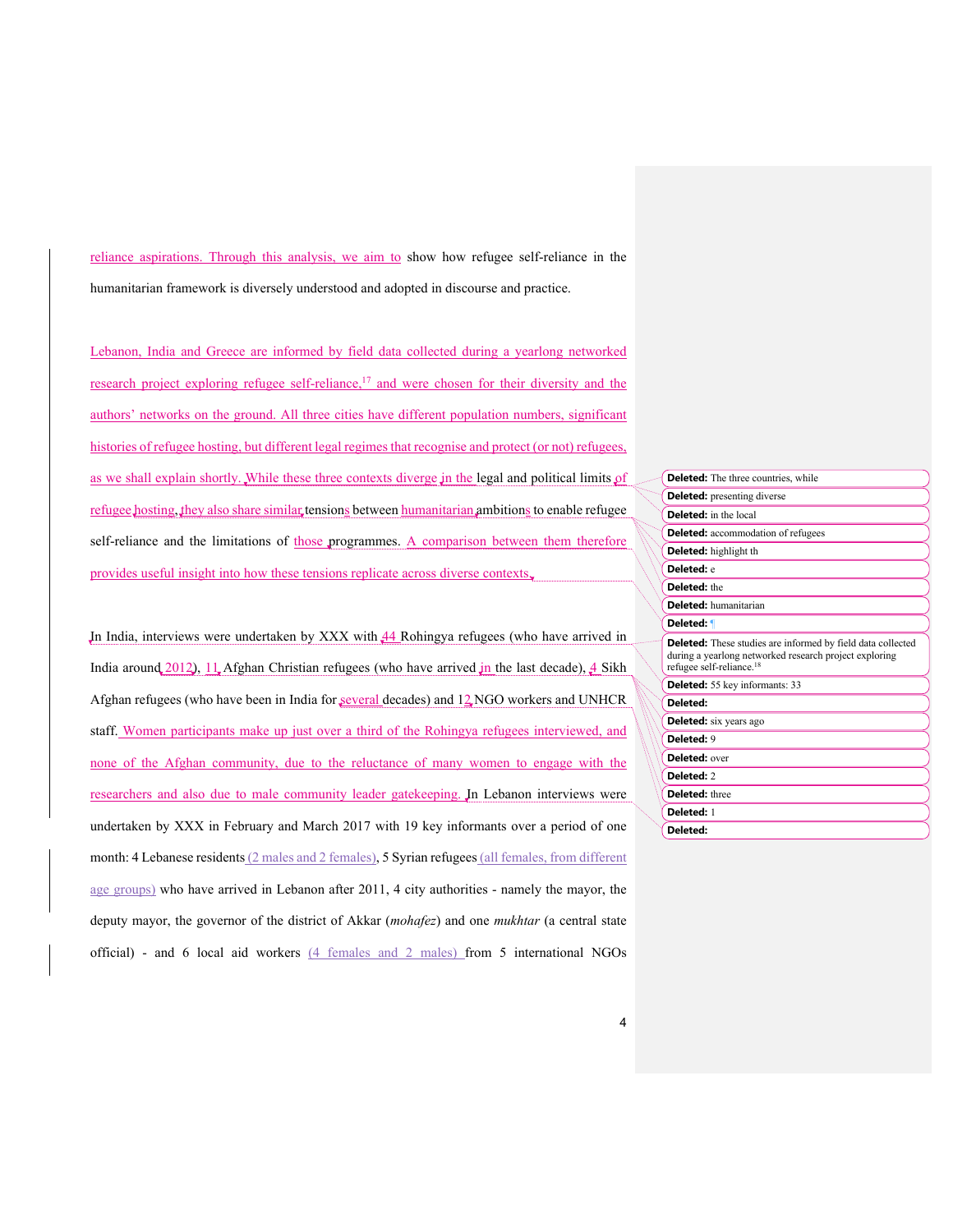reliance aspirations. Through this analysis, we aim to show how refugee self-reliance in the humanitarian framework is diversely understood and adopted in discourse and practice.

Lebanon, India and Greece are informed by field data collected during a yearlong networked research project exploring refugee self-reliance,<sup>17</sup> and were chosen for their diversity and the authors' networks on the ground. All three cities have different population numbers, significant histories of refugee hosting, but different legal regimes that recognise and protect (or not) refugees, as we shall explain shortly. While these three contexts diverge in the legal and political limits of refugee hosting, they also share similar tensions between humanitarian ambitions to enable refugee self-reliance and the limitations of those programmes. A comparison between them therefore provides useful insight into how these tensions replicate across diverse contexts.

In India, interviews were undertaken by XXX with 44 Rohingya refugees (who have arrived in India around 2012), 11 Afghan Christian refugees (who have arrived in the last decade),  $\frac{4}{3}$  Sikh Afghan refugees (who have been in India for several decades) and 12 NGO workers and UNHCR staff. Women participants make up just over a third of the Rohingya refugees interviewed, and none of the Afghan community, due to the reluctance of many women to engage with the researchers and also due to male community leader gatekeeping. In Lebanon interviews were undertaken by XXX in February and March 2017 with 19 key informants over a period of one month: 4 Lebanese residents (2 males and 2 females), 5 Syrian refugees (all females, from different age groups) who have arrived in Lebanon after 2011, 4 city authorities - namely the mayor, the deputy mayor, the governor of the district of Akkar (*mohafez*) and one *mukhtar* (a central state official) - and 6 local aid workers (4 females and 2 males) from 5 international NGOs

|                       | <b>Deleted:</b> The three countries, while                                                                                                                           |  |
|-----------------------|----------------------------------------------------------------------------------------------------------------------------------------------------------------------|--|
|                       | <b>Deleted:</b> presenting diverse                                                                                                                                   |  |
|                       | <b>Deleted:</b> in the local                                                                                                                                         |  |
|                       | <b>Deleted:</b> accommodation of refugees                                                                                                                            |  |
|                       | <b>Deleted:</b> highlight th                                                                                                                                         |  |
| Deleted: e            |                                                                                                                                                                      |  |
| <b>Deleted:</b> the   |                                                                                                                                                                      |  |
|                       | <b>Deleted:</b> humanitarian                                                                                                                                         |  |
|                       | Deleted: ¶                                                                                                                                                           |  |
|                       | <b>Deleted:</b> These studies are informed by field data collected<br>during a yearlong networked research project exploring<br>refugee self-reliance. <sup>18</sup> |  |
|                       | <b>Deleted:</b> 55 key informants: 33                                                                                                                                |  |
| Deleted:              |                                                                                                                                                                      |  |
|                       | <b>Deleted:</b> six years ago                                                                                                                                        |  |
| Deleted: 9            |                                                                                                                                                                      |  |
| Deleted: over         |                                                                                                                                                                      |  |
| Deleted: 2            |                                                                                                                                                                      |  |
| <b>Deleted:</b> three |                                                                                                                                                                      |  |
| Deleted: 1            |                                                                                                                                                                      |  |
| Deleted:              |                                                                                                                                                                      |  |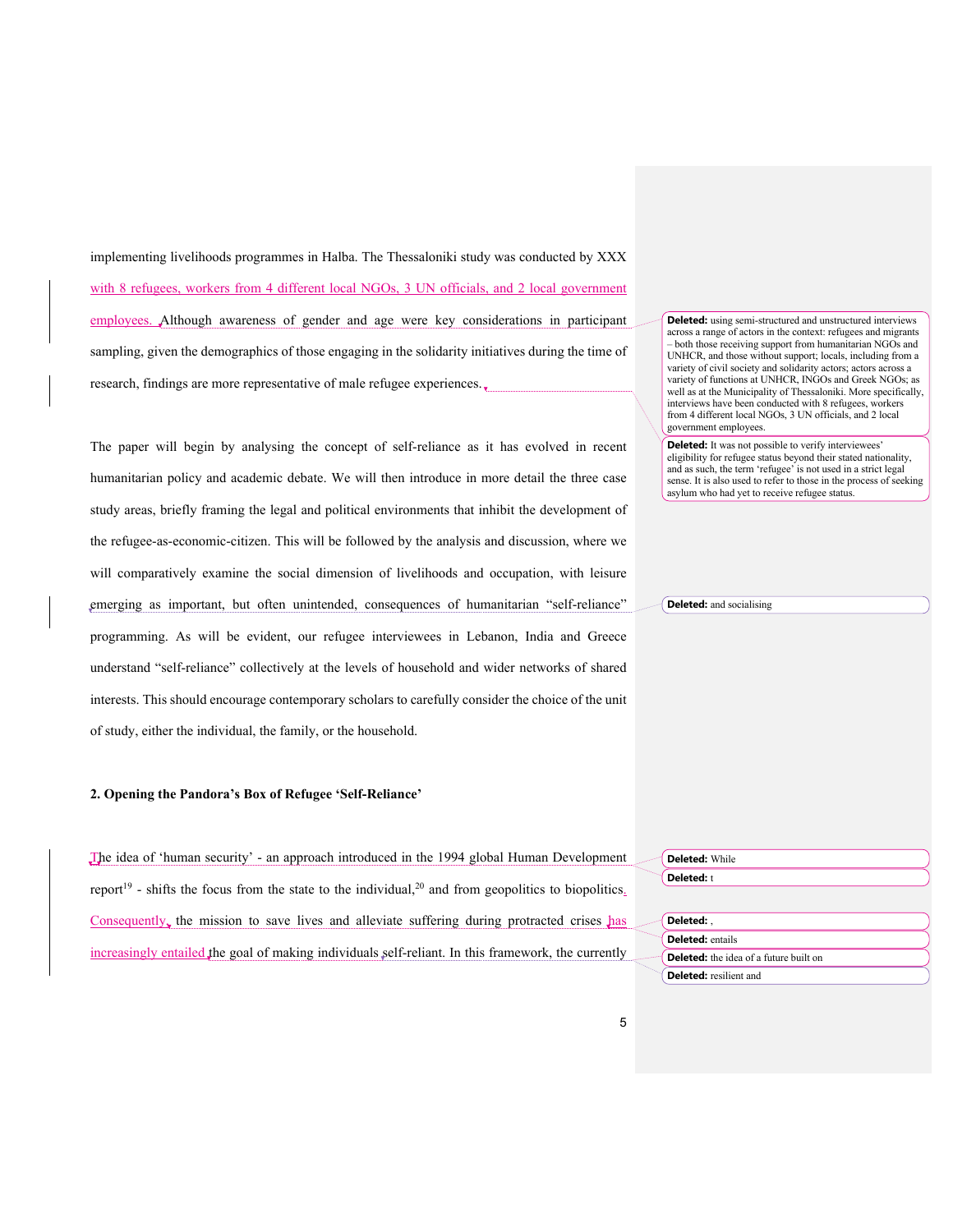implementing livelihoods programmes in Halba. The Thessaloniki study was conducted by XXX with 8 refugees, workers from 4 different local NGOs, 3 UN officials, and 2 local government employees. Although awareness of gender and age were key considerations in participant sampling, given the demographics of those engaging in the solidarity initiatives during the time of research, findings are more representative of male refugee experiences.

The paper will begin by analysing the concept of self-reliance as it has evolved in recent humanitarian policy and academic debate. We will then introduce in more detail the three case study areas, briefly framing the legal and political environments that inhibit the development of the refugee-as-economic-citizen. This will be followed by the analysis and discussion, where we will comparatively examine the social dimension of livelihoods and occupation, with leisure emerging as important, but often unintended, consequences of humanitarian "self-reliance" programming. As will be evident, our refugee interviewees in Lebanon, India and Greece understand "self-reliance" collectively at the levels of household and wider networks of shared interests. This should encourage contemporary scholars to carefully consider the choice of the unit of study, either the individual, the family, or the household.

### **2. Opening the Pandora's Box of Refugee 'Self-Reliance'**

The idea of 'human security' - an approach introduced in the 1994 global Human Development report<sup>19</sup> - shifts the focus from the state to the individual,<sup>20</sup> and from geopolitics to biopolitics. Consequently, the mission to save lives and alleviate suffering during protracted crises has increasingly entailed the goal of making individuals self-reliant. In this framework, the currently

**Deleted:** using semi-structured and unstructured interviews across a range of actors in the context: refugees and migrants – both those receiving support from humanitarian NGOs and UNHCR, and those without support; locals, including from a variety of civil society and solidarity actors; actors across a variety of functions at UNHCR, INGOs and Greek NGOs; as well as at the Municipality of Thessaloniki. More specifically, interviews have been conducted with 8 refugees, workers from 4 different local NGOs, 3 UN officials, and 2 local government employees.

**Deleted:** It was not possible to verify interviewees' eligibility for refugee status beyond their stated nationality, and as such, the term 'refugee' is not used in a strict legal sense. It is also used to refer to those in the process of seeking asylum who had yet to receive refugee status.

**Deleted:** and socialising

**Deleted:** While **Deleted:** t

| Deleted:                                      |  |
|-----------------------------------------------|--|
| <b>Deleted:</b> entails                       |  |
| <b>Deleted:</b> the idea of a future built on |  |
| <b>Deleted:</b> resilient and                 |  |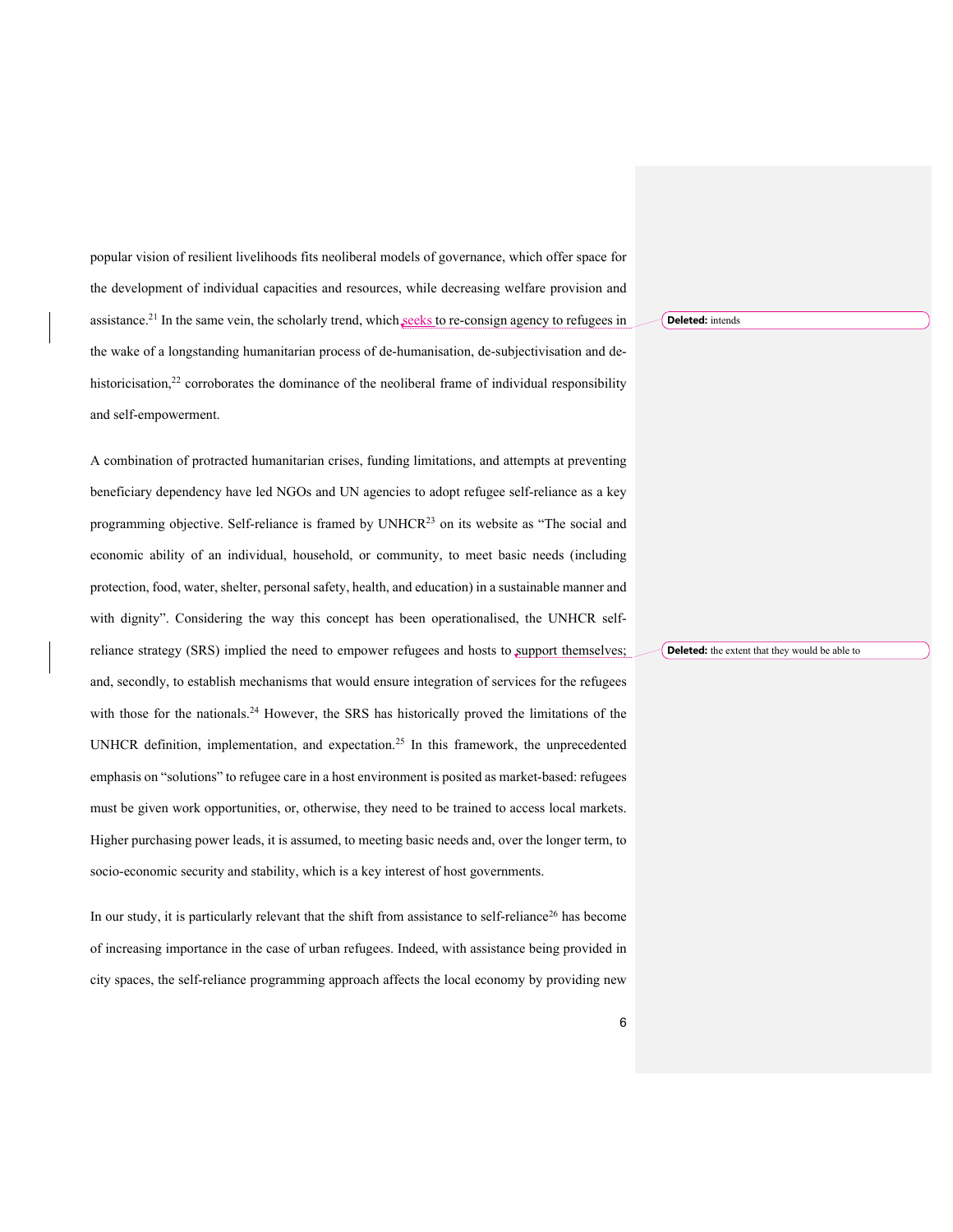popular vision of resilient livelihoods fits neoliberal models of governance, which offer space for the development of individual capacities and resources, while decreasing welfare provision and assistance.<sup>21</sup> In the same vein, the scholarly trend, which seeks to re-consign agency to refugees in the wake of a longstanding humanitarian process of de-humanisation, de-subjectivisation and dehistoricisation,<sup>22</sup> corroborates the dominance of the neoliberal frame of individual responsibility and self-empowerment.

A combination of protracted humanitarian crises, funding limitations, and attempts at preventing beneficiary dependency have led NGOs and UN agencies to adopt refugee self-reliance as a key programming objective. Self-reliance is framed by UNHCR23 on its website as "The social and economic ability of an individual, household, or community, to meet basic needs (including protection, food, water, shelter, personal safety, health, and education) in a sustainable manner and with dignity". Considering the way this concept has been operationalised, the UNHCR selfreliance strategy (SRS) implied the need to empower refugees and hosts to support themselves; and, secondly, to establish mechanisms that would ensure integration of services for the refugees with those for the nationals.<sup>24</sup> However, the SRS has historically proved the limitations of the UNHCR definition, implementation, and expectation.25 In this framework, the unprecedented emphasis on "solutions" to refugee care in a host environment is posited as market-based: refugees must be given work opportunities, or, otherwise, they need to be trained to access local markets. Higher purchasing power leads, it is assumed, to meeting basic needs and, over the longer term, to socio-economic security and stability, which is a key interest of host governments.

In our study, it is particularly relevant that the shift from assistance to self-reliance<sup>26</sup> has become of increasing importance in the case of urban refugees. Indeed, with assistance being provided in city spaces, the self-reliance programming approach affects the local economy by providing new **Deleted:** intends

**Deleted:** the extent that they would be able to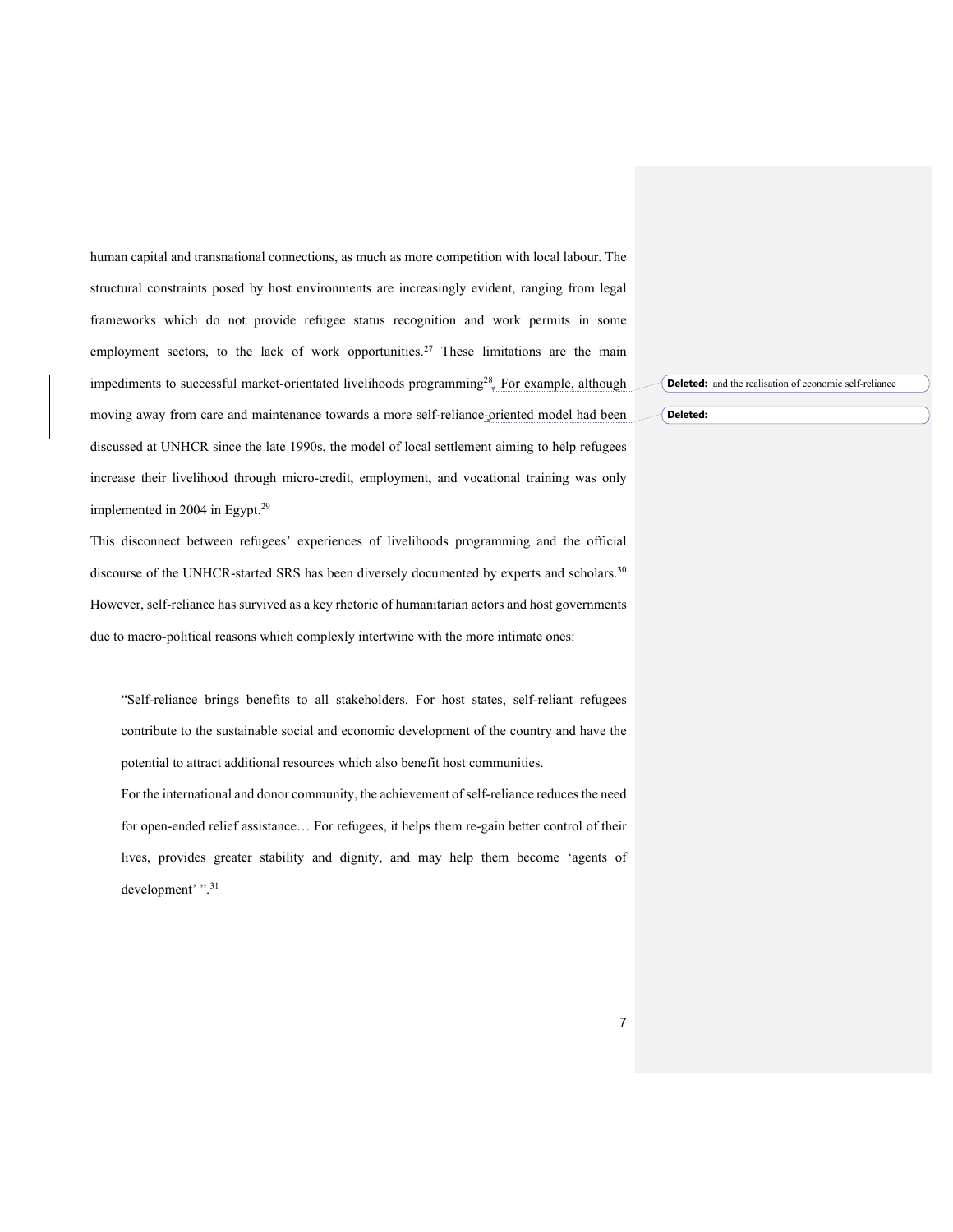human capital and transnational connections, as much as more competition with local labour. The structural constraints posed by host environments are increasingly evident, ranging from legal frameworks which do not provide refugee status recognition and work permits in some employment sectors, to the lack of work opportunities.<sup>27</sup> These limitations are the main impediments to successful market-orientated livelihoods programming<sup>28</sup>. For example, although moving away from care and maintenance towards a more self-reliance-oriented model had been discussed at UNHCR since the late 1990s, the model of local settlement aiming to help refugees increase their livelihood through micro-credit, employment, and vocational training was only implemented in 2004 in Egypt.29

This disconnect between refugees' experiences of livelihoods programming and the official discourse of the UNHCR-started SRS has been diversely documented by experts and scholars.<sup>30</sup> However, self-reliance has survived as a key rhetoric of humanitarian actors and host governments due to macro-political reasons which complexly intertwine with the more intimate ones:

"Self-reliance brings benefits to all stakeholders. For host states, self-reliant refugees contribute to the sustainable social and economic development of the country and have the potential to attract additional resources which also benefit host communities.

For the international and donor community, the achievement of self-reliance reduces the need for open-ended relief assistance… For refugees, it helps them re-gain better control of their lives, provides greater stability and dignity, and may help them become 'agents of development' ".<sup>31</sup>

**Deleted:** and the realisation of economic self-reliance

**Deleted:**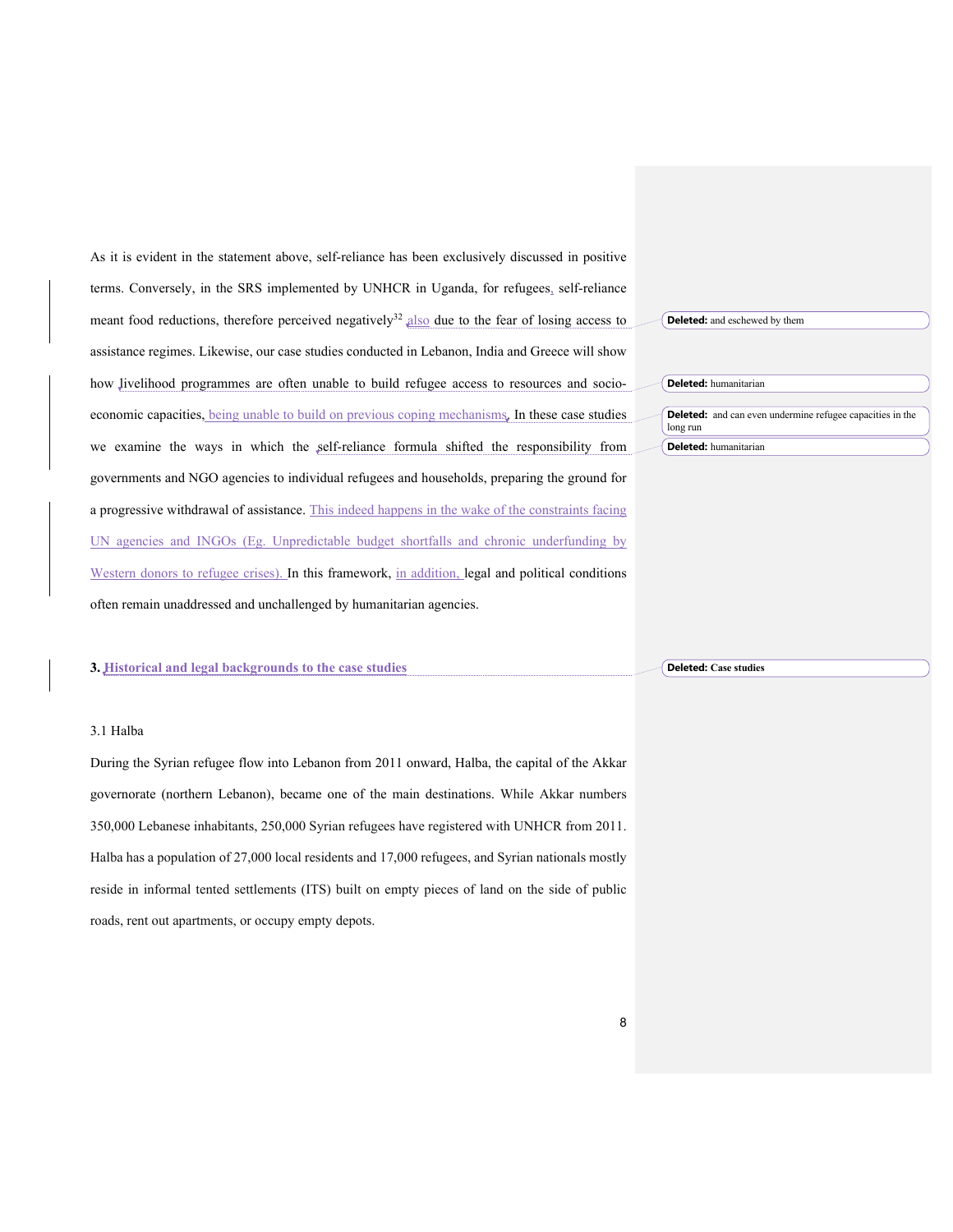As it is evident in the statement above, self-reliance has been exclusively discussed in positive terms. Conversely, in the SRS implemented by UNHCR in Uganda, for refugees, self-reliance meant food reductions, therefore perceived negatively<sup>32</sup> also due to the fear of losing access to assistance regimes. Likewise, our case studies conducted in Lebanon, India and Greece will show how livelihood programmes are often unable to build refugee access to resources and socioeconomic capacities, being unable to build on previous coping mechanisms. In these case studies we examine the ways in which the self-reliance formula shifted the responsibility from governments and NGO agencies to individual refugees and households, preparing the ground for a progressive withdrawal of assistance. This indeed happens in the wake of the constraints facing UN agencies and INGOs (Eg. Unpredictable budget shortfalls and chronic underfunding by Western donors to refugee crises). In this framework, in addition, legal and political conditions often remain unaddressed and unchallenged by humanitarian agencies.

#### **3. Historical and legal backgrounds to the case studies**

#### 3.1 Halba

During the Syrian refugee flow into Lebanon from 2011 onward, Halba, the capital of the Akkar governorate (northern Lebanon), became one of the main destinations. While Akkar numbers 350,000 Lebanese inhabitants, 250,000 Syrian refugees have registered with UNHCR from 2011. Halba has a population of 27,000 local residents and 17,000 refugees, and Syrian nationals mostly reside in informal tented settlements (ITS) built on empty pieces of land on the side of public roads, rent out apartments, or occupy empty depots.

| <b>Deleted:</b> and eschewed by them |                                                                  |  |
|--------------------------------------|------------------------------------------------------------------|--|
|                                      |                                                                  |  |
|                                      | <b>Deleted:</b> humanitarian                                     |  |
| long run                             | <b>Deleted:</b> and can even undermine refugee capacities in the |  |
|                                      | <b>Deleted:</b> humanitarian                                     |  |

**Deleted: Case studies**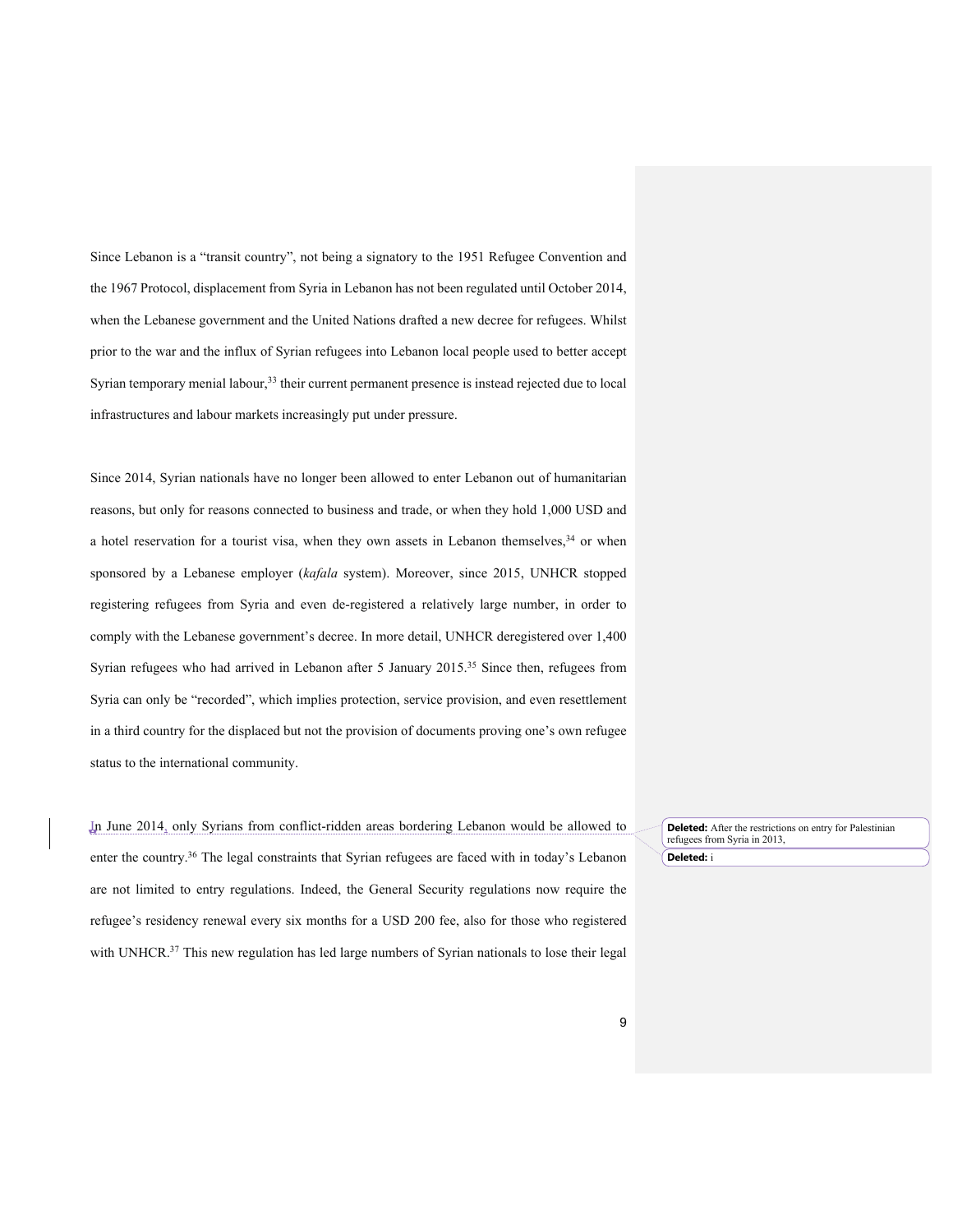Since Lebanon is a "transit country", not being a signatory to the 1951 Refugee Convention and the 1967 Protocol, displacement from Syria in Lebanon has not been regulated until October 2014, when the Lebanese government and the United Nations drafted a new decree for refugees. Whilst prior to the war and the influx of Syrian refugees into Lebanon local people used to better accept Syrian temporary menial labour,<sup>33</sup> their current permanent presence is instead rejected due to local infrastructures and labour markets increasingly put under pressure.

Since 2014, Syrian nationals have no longer been allowed to enter Lebanon out of humanitarian reasons, but only for reasons connected to business and trade, or when they hold 1,000 USD and a hotel reservation for a tourist visa, when they own assets in Lebanon themselves, $34$  or when sponsored by a Lebanese employer (*kafala* system). Moreover, since 2015, UNHCR stopped registering refugees from Syria and even de-registered a relatively large number, in order to comply with the Lebanese government's decree. In more detail, UNHCR deregistered over 1,400 Syrian refugees who had arrived in Lebanon after 5 January 2015.<sup>35</sup> Since then, refugees from Syria can only be "recorded", which implies protection, service provision, and even resettlement in a third country for the displaced but not the provision of documents proving one's own refugee status to the international community.

In June 2014, only Syrians from conflict-ridden areas bordering Lebanon would be allowed to enter the country.36 The legal constraints that Syrian refugees are faced with in today's Lebanon are not limited to entry regulations. Indeed, the General Security regulations now require the refugee's residency renewal every six months for a USD 200 fee, also for those who registered with UNHCR.<sup>37</sup> This new regulation has led large numbers of Syrian nationals to lose their legal

**Deleted:** After the restrictions on entry for Palestinian refugees from Syria in 2013, **Deleted:** i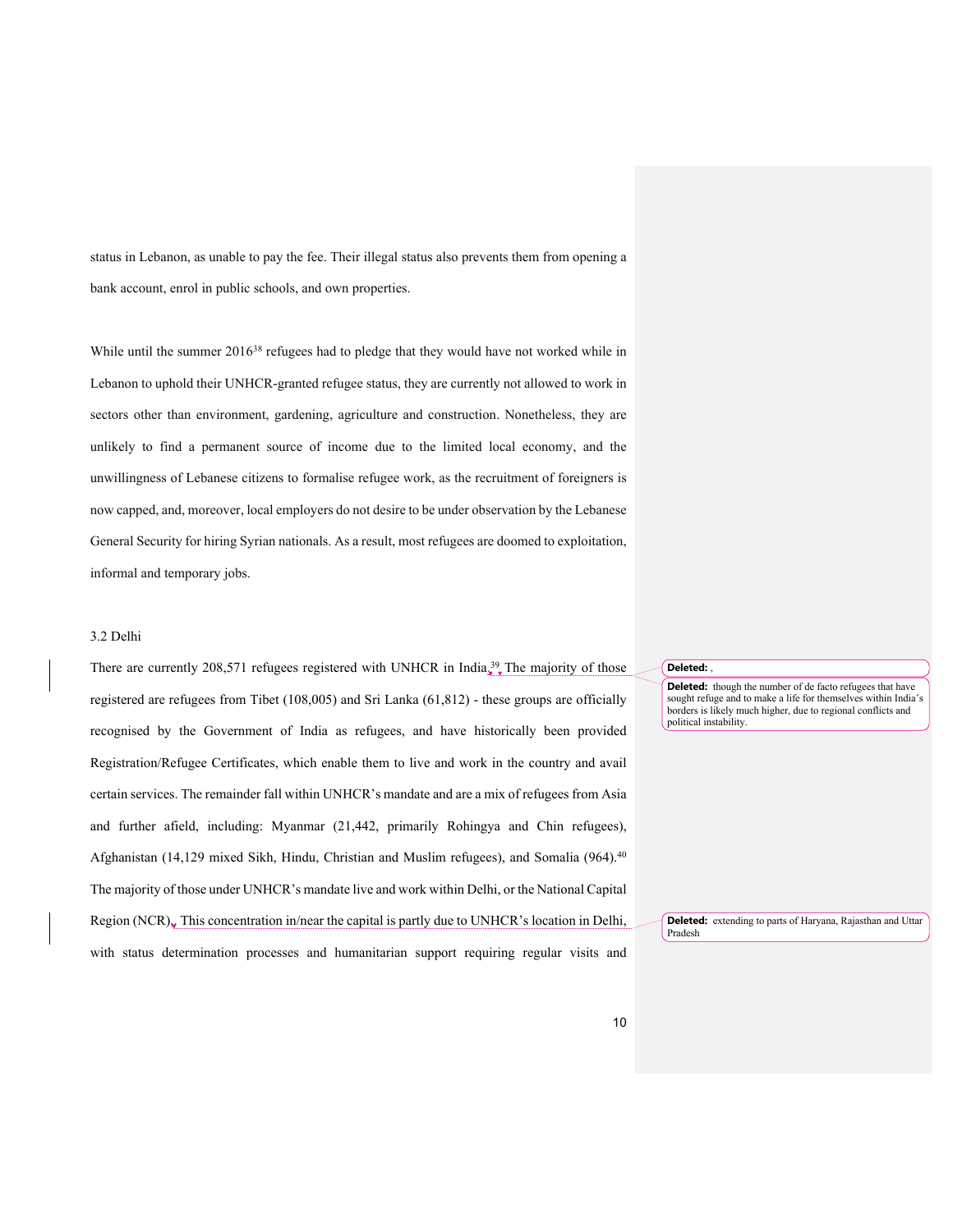status in Lebanon, as unable to pay the fee. Their illegal status also prevents them from opening a bank account, enrol in public schools, and own properties.

While until the summer 2016<sup>38</sup> refugees had to pledge that they would have not worked while in Lebanon to uphold their UNHCR-granted refugee status, they are currently not allowed to work in sectors other than environment, gardening, agriculture and construction. Nonetheless, they are unlikely to find a permanent source of income due to the limited local economy, and the unwillingness of Lebanese citizens to formalise refugee work, as the recruitment of foreigners is now capped, and, moreover, local employers do not desire to be under observation by the Lebanese General Security for hiring Syrian nationals. As a result, most refugees are doomed to exploitation, informal and temporary jobs.

### 3.2 Delhi

There are currently 208,571 refugees registered with UNHCR in India.<sup>39</sup> The majority of those registered are refugees from Tibet (108,005) and Sri Lanka (61,812) - these groups are officially recognised by the Government of India as refugees, and have historically been provided Registration/Refugee Certificates, which enable them to live and work in the country and avail certain services. The remainder fall within UNHCR's mandate and are a mix of refugees from Asia and further afield, including: Myanmar (21,442, primarily Rohingya and Chin refugees), Afghanistan (14,129 mixed Sikh, Hindu, Christian and Muslim refugees), and Somalia (964). 40 The majority of those under UNHCR's mandate live and work within Delhi, or the National Capital Region (NCR),. This concentration in/near the capital is partly due to UNHCR's location in Delhi, with status determination processes and humanitarian support requiring regular visits and

### **Deleted:** ,

**Deleted:** though the number of de facto refugees that have sought refuge and to make a life for themselves within India's borders is likely much higher, due to regional conflicts and political instability.

**Deleted:** extending to parts of Haryana, Rajasthan and Uttar Pradesh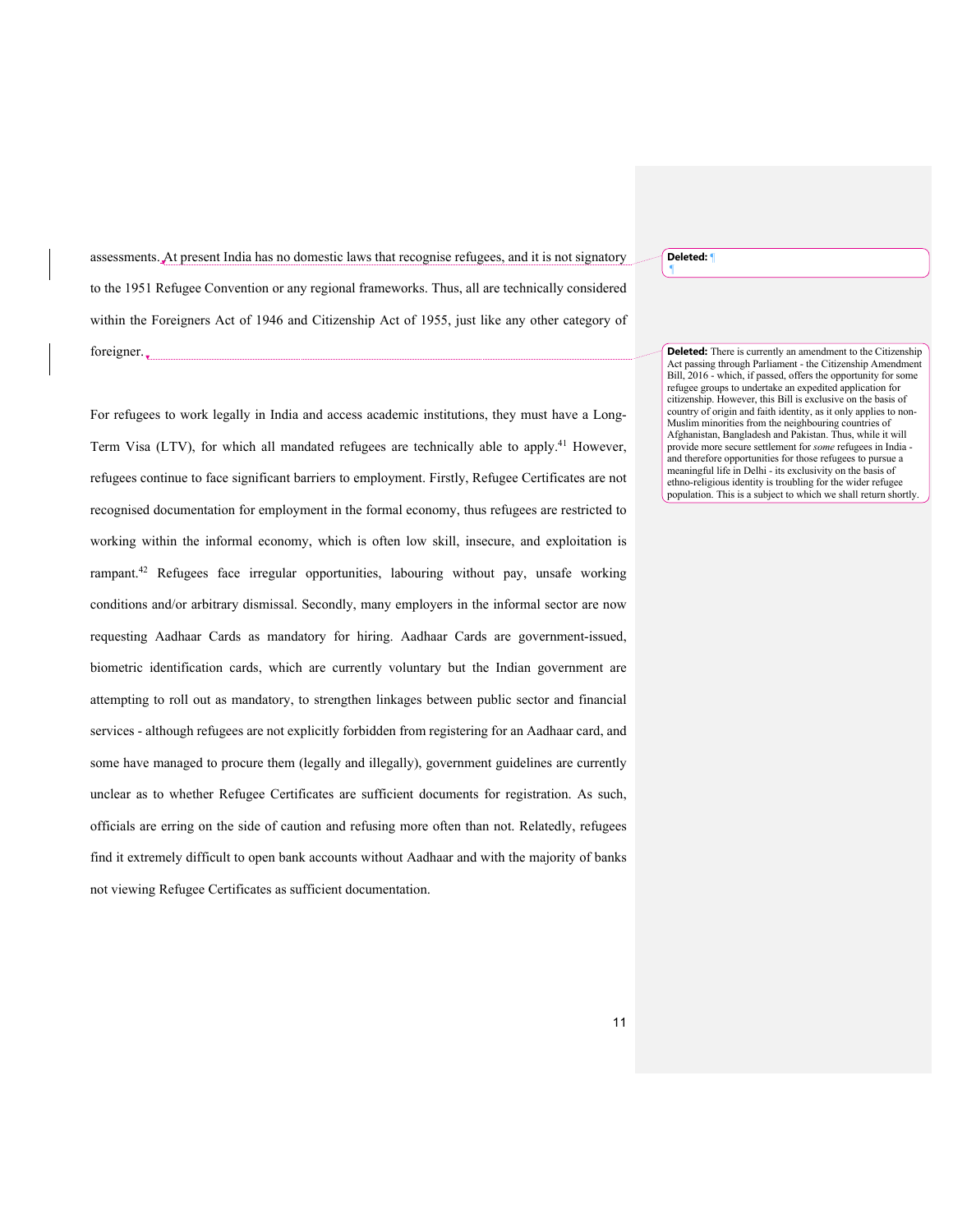**Deleted:** ¶

¶

assessments. At present India has no domestic laws that recognise refugees, and it is not signatory to the 1951 Refugee Convention or any regional frameworks. Thus, all are technically considered within the Foreigners Act of 1946 and Citizenship Act of 1955, just like any other category of foreigner.

For refugees to work legally in India and access academic institutions, they must have a Long-Term Visa (LTV), for which all mandated refugees are technically able to apply.41 However, refugees continue to face significant barriers to employment. Firstly, Refugee Certificates are not recognised documentation for employment in the formal economy, thus refugees are restricted to working within the informal economy, which is often low skill, insecure, and exploitation is rampant.42 Refugees face irregular opportunities, labouring without pay, unsafe working conditions and/or arbitrary dismissal. Secondly, many employers in the informal sector are now requesting Aadhaar Cards as mandatory for hiring. Aadhaar Cards are government-issued, biometric identification cards, which are currently voluntary but the Indian government are attempting to roll out as mandatory, to strengthen linkages between public sector and financial services - although refugees are not explicitly forbidden from registering for an Aadhaar card, and some have managed to procure them (legally and illegally), government guidelines are currently unclear as to whether Refugee Certificates are sufficient documents for registration. As such, officials are erring on the side of caution and refusing more often than not. Relatedly, refugees find it extremely difficult to open bank accounts without Aadhaar and with the majority of banks not viewing Refugee Certificates as sufficient documentation.

**Deleted:** There is currently an amendment to the Citizenship Act passing through Parliament - the Citizenship Amendment Bill, 2016 - which, if passed, offers the opportunity for some refugee groups to undertake an expedited application for citizenship. However, this Bill is exclusive on the basis of country of origin and faith identity, as it only applies to non-Muslim minorities from the neighbouring countries of Afghanistan, Bangladesh and Pakistan. Thus, while it will provide more secure settlement for *some* refugees in India and therefore opportunities for those refugees to pursue a meaningful life in Delhi - its exclusivity on the basis of ethno-religious identity is troubling for the wider refugee population. This is a subject to which we shall return shortly.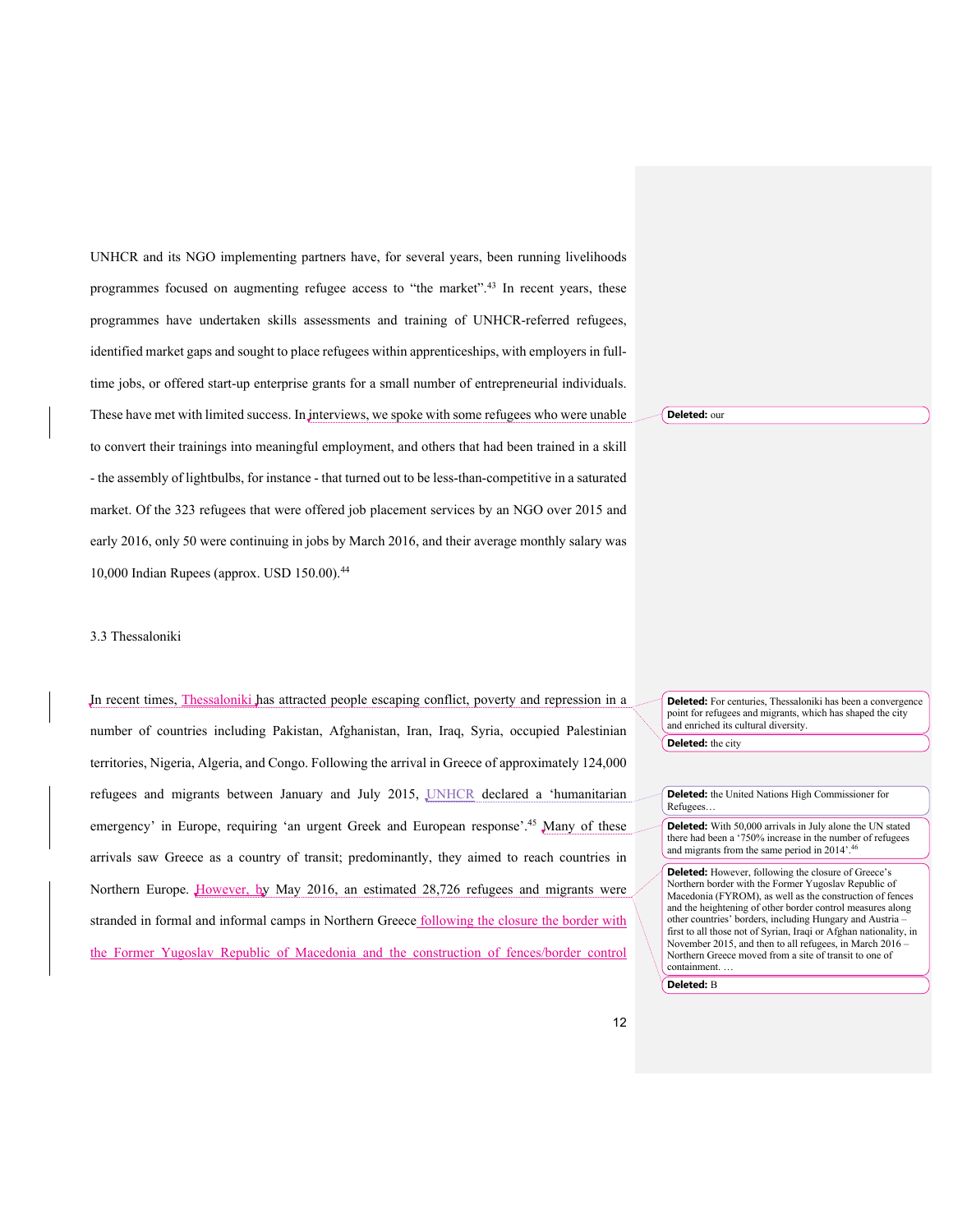UNHCR and its NGO implementing partners have, for several years, been running livelihoods programmes focused on augmenting refugee access to "the market".<sup>43</sup> In recent years, these programmes have undertaken skills assessments and training of UNHCR-referred refugees, identified market gaps and sought to place refugees within apprenticeships, with employers in fulltime jobs, or offered start-up enterprise grants for a small number of entrepreneurial individuals. These have met with limited success. In interviews, we spoke with some refugees who were unable to convert their trainings into meaningful employment, and others that had been trained in a skill - the assembly of lightbulbs, for instance - that turned out to be less-than-competitive in a saturated market. Of the 323 refugees that were offered job placement services by an NGO over 2015 and early 2016, only 50 were continuing in jobs by March 2016, and their average monthly salary was 10,000 Indian Rupees (approx. USD 150.00).44

#### 3.3 Thessaloniki

In recent times, Thessaloniki has attracted people escaping conflict, poverty and repression in a number of countries including Pakistan, Afghanistan, Iran, Iraq, Syria, occupied Palestinian territories, Nigeria, Algeria, and Congo. Following the arrival in Greece of approximately 124,000 refugees and migrants between January and July 2015, UNHCR declared a 'humanitarian emergency' in Europe, requiring 'an urgent Greek and European response'.<sup>45</sup> Many of these arrivals saw Greece as a country of transit; predominantly, they aimed to reach countries in Northern Europe. However, by May 2016, an estimated 28,726 refugees and migrants were stranded in formal and informal camps in Northern Greece following the closure the border with the Former Yugoslav Republic of Macedonia and the construction of fences/border control

**Deleted:** our

**Deleted:** For centuries, Thessaloniki has been a convergence point for refugees and migrants, which has shaped the city and enriched its cultural diversity. **Deleted:** the city

**Deleted:** the United Nations High Commissioner for Refugees…

**Deleted:** With 50,000 arrivals in July alone the UN stated there had been a '750% increase in the number of refugees and migrants from the same period in 2014'.46

**Deleted:** However, following the closure of Greece's Northern border with the Former Yugoslav Republic of Macedonia (FYROM), as well as the construction of fences and the heightening of other border control measures along other countries' borders, including Hungary and Austria – first to all those not of Syrian, Iraqi or Afghan nationality, in November 2015, and then to all refugees, in March 2016 – Northern Greece moved from a site of transit to one of containment. …

**Deleted:** B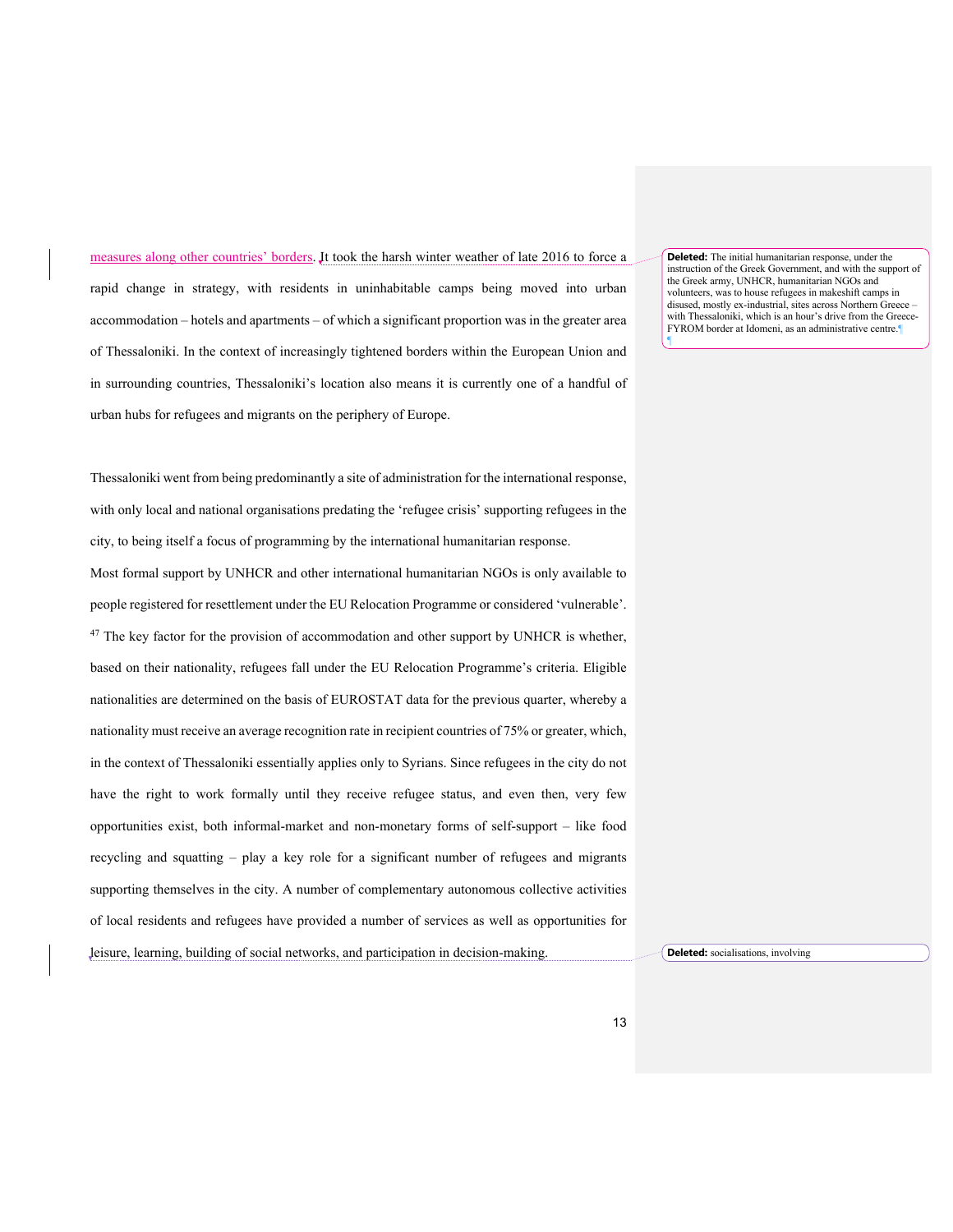measures along other countries' borders. It took the harsh winter weather of late 2016 to force a rapid change in strategy, with residents in uninhabitable camps being moved into urban accommodation – hotels and apartments – of which a significant proportion was in the greater area of Thessaloniki. In the context of increasingly tightened borders within the European Union and in surrounding countries, Thessaloniki's location also means it is currently one of a handful of urban hubs for refugees and migrants on the periphery of Europe.

**Deleted:** The initial humanitarian response, under the instruction of the Greek Government, and with the support of the Greek army, UNHCR, humanitarian NGOs and volunteers, was to house refugees in makeshift camps in disused, mostly ex-industrial, sites across Northern Greece – with Thessaloniki, which is an hour's drive from the Greece-FYROM border at Idomeni, as an administrative centre.

¶

Thessaloniki went from being predominantly a site of administration for the international response, with only local and national organisations predating the 'refugee crisis' supporting refugees in the city, to being itself a focus of programming by the international humanitarian response.

Most formal support by UNHCR and other international humanitarian NGOs is only available to people registered for resettlement under the EU Relocation Programme or considered 'vulnerable'.  $47$  The key factor for the provision of accommodation and other support by UNHCR is whether, based on their nationality, refugees fall under the EU Relocation Programme's criteria. Eligible nationalities are determined on the basis of EUROSTAT data for the previous quarter, whereby a nationality must receive an average recognition rate in recipient countries of 75% or greater, which, in the context of Thessaloniki essentially applies only to Syrians. Since refugees in the city do not have the right to work formally until they receive refugee status, and even then, very few opportunities exist, both informal-market and non-monetary forms of self-support – like food recycling and squatting – play a key role for a significant number of refugees and migrants supporting themselves in the city. A number of complementary autonomous collective activities of local residents and refugees have provided a number of services as well as opportunities for leisure, learning, building of social networks, and participation in decision-making.

**Deleted:** socialisations, involving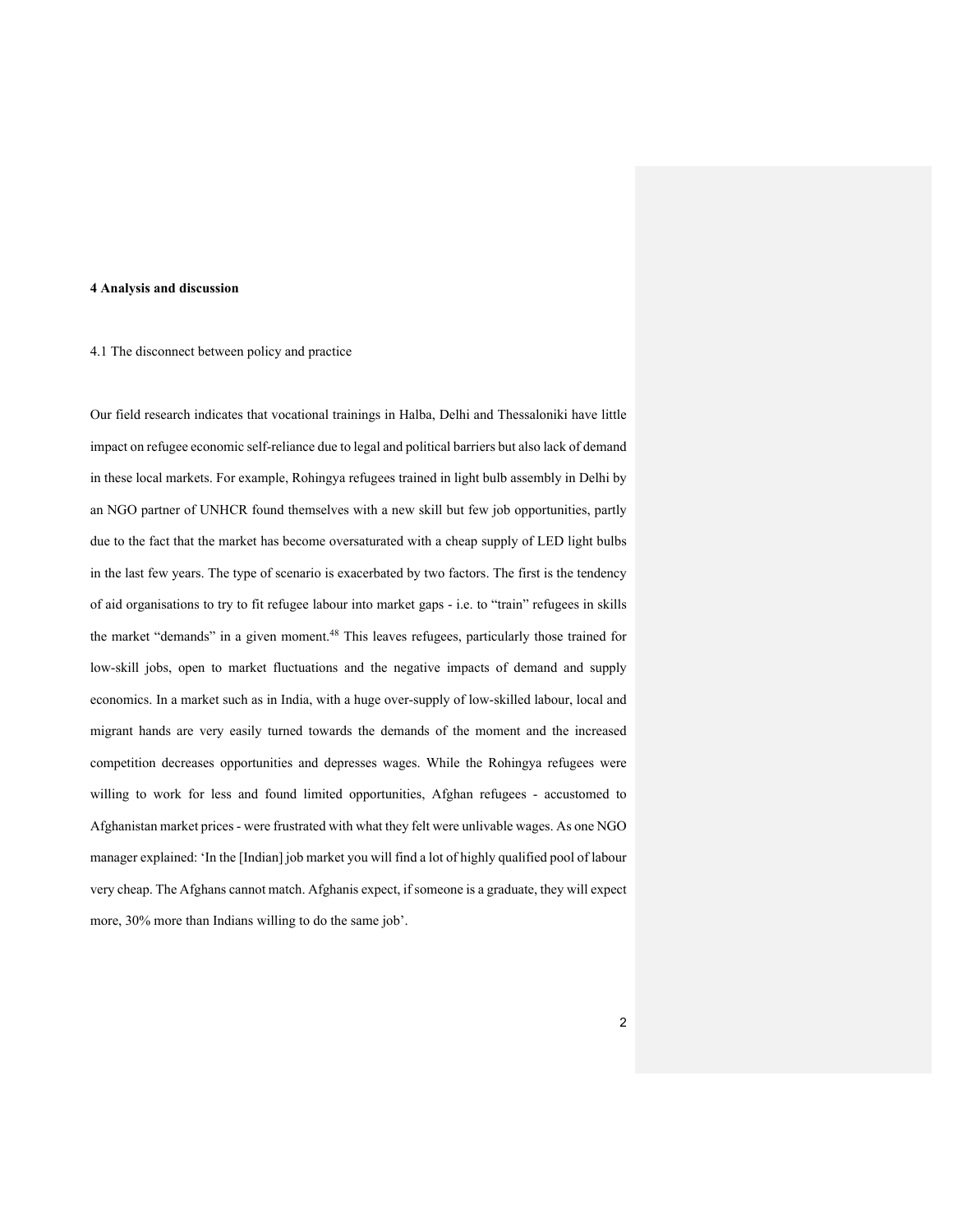### **4 Analysis and discussion**

# 4.1 The disconnect between policy and practice

Our field research indicates that vocational trainings in Halba, Delhi and Thessaloniki have little impact on refugee economic self-reliance due to legal and political barriers but also lack of demand in these local markets. For example, Rohingya refugees trained in light bulb assembly in Delhi by an NGO partner of UNHCR found themselves with a new skill but few job opportunities, partly due to the fact that the market has become oversaturated with a cheap supply of LED light bulbs in the last few years. The type of scenario is exacerbated by two factors. The first is the tendency of aid organisations to try to fit refugee labour into market gaps - i.e. to "train" refugees in skills the market "demands" in a given moment.<sup>48</sup> This leaves refugees, particularly those trained for low-skill jobs, open to market fluctuations and the negative impacts of demand and supply economics. In a market such as in India, with a huge over-supply of low-skilled labour, local and migrant hands are very easily turned towards the demands of the moment and the increased competition decreases opportunities and depresses wages. While the Rohingya refugees were willing to work for less and found limited opportunities, Afghan refugees - accustomed to Afghanistan market prices - were frustrated with what they felt were unlivable wages. As one NGO manager explained: 'In the [Indian] job market you will find a lot of highly qualified pool of labour very cheap. The Afghans cannot match. Afghanis expect, if someone is a graduate, they will expect more, 30% more than Indians willing to do the same job'.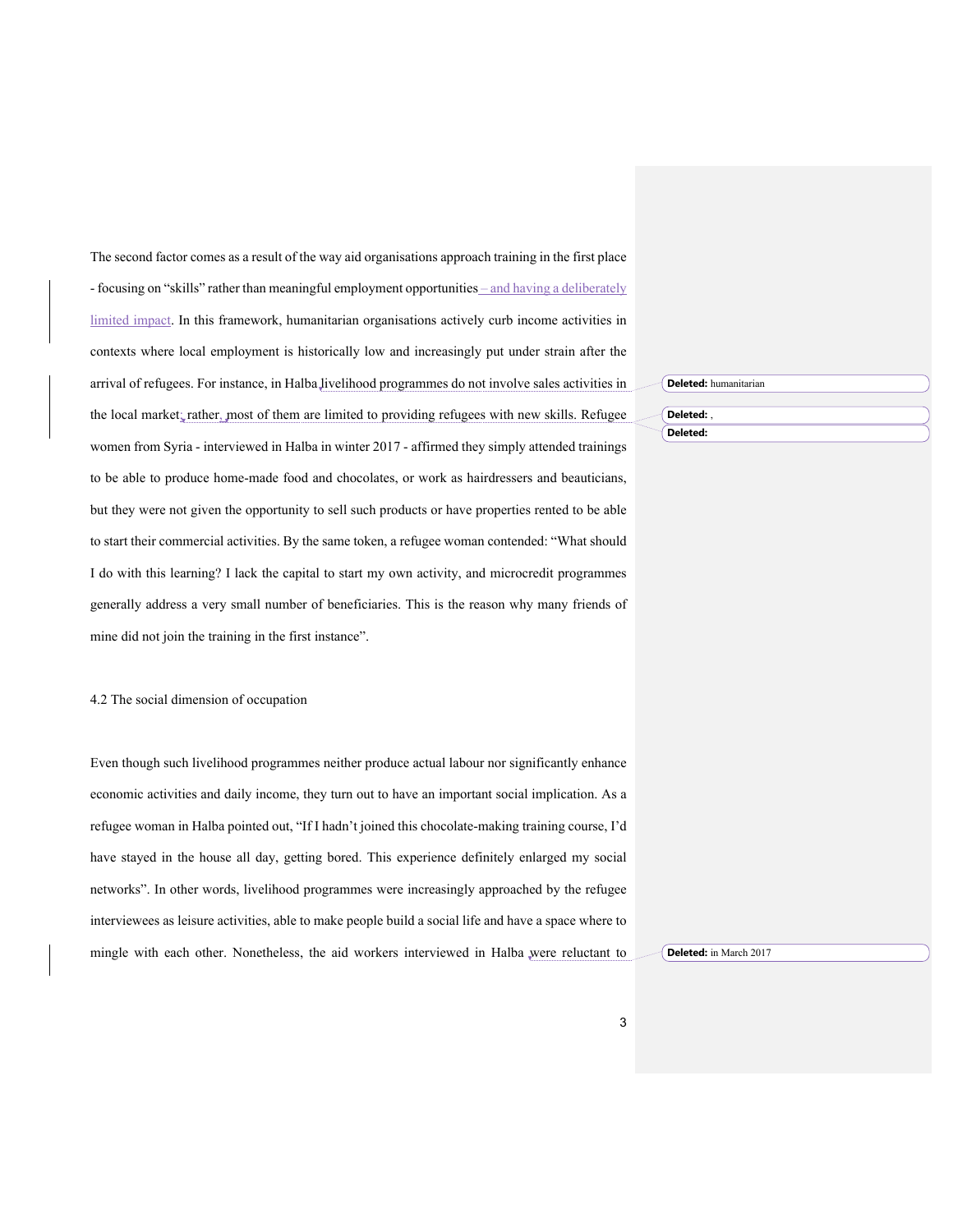The second factor comes as a result of the way aid organisations approach training in the first place - focusing on "skills" rather than meaningful employment opportunities – and having a deliberately limited impact. In this framework, humanitarian organisations actively curb income activities in contexts where local employment is historically low and increasingly put under strain after the arrival of refugees. For instance, in Halba livelihood programmes do not involve sales activities in the local market; rather, most of them are limited to providing refugees with new skills. Refugee women from Syria - interviewed in Halba in winter 2017 - affirmed they simply attended trainings to be able to produce home-made food and chocolates, or work as hairdressers and beauticians, but they were not given the opportunity to sell such products or have properties rented to be able to start their commercial activities. By the same token, a refugee woman contended: "What should I do with this learning? I lack the capital to start my own activity, and microcredit programmes generally address a very small number of beneficiaries. This is the reason why many friends of mine did not join the training in the first instance".

## 4.2 The social dimension of occupation

Even though such livelihood programmes neither produce actual labour nor significantly enhance economic activities and daily income, they turn out to have an important social implication. As a refugee woman in Halba pointed out, "If I hadn't joined this chocolate-making training course, I'd have stayed in the house all day, getting bored. This experience definitely enlarged my social networks". In other words, livelihood programmes were increasingly approached by the refugee interviewees as leisure activities, able to make people build a social life and have a space where to mingle with each other. Nonetheless, the aid workers interviewed in Halba were reluctant to **Deleted:** humanitarian

**Deleted:** , **Deleted:** 

**Deleted:** in March 2017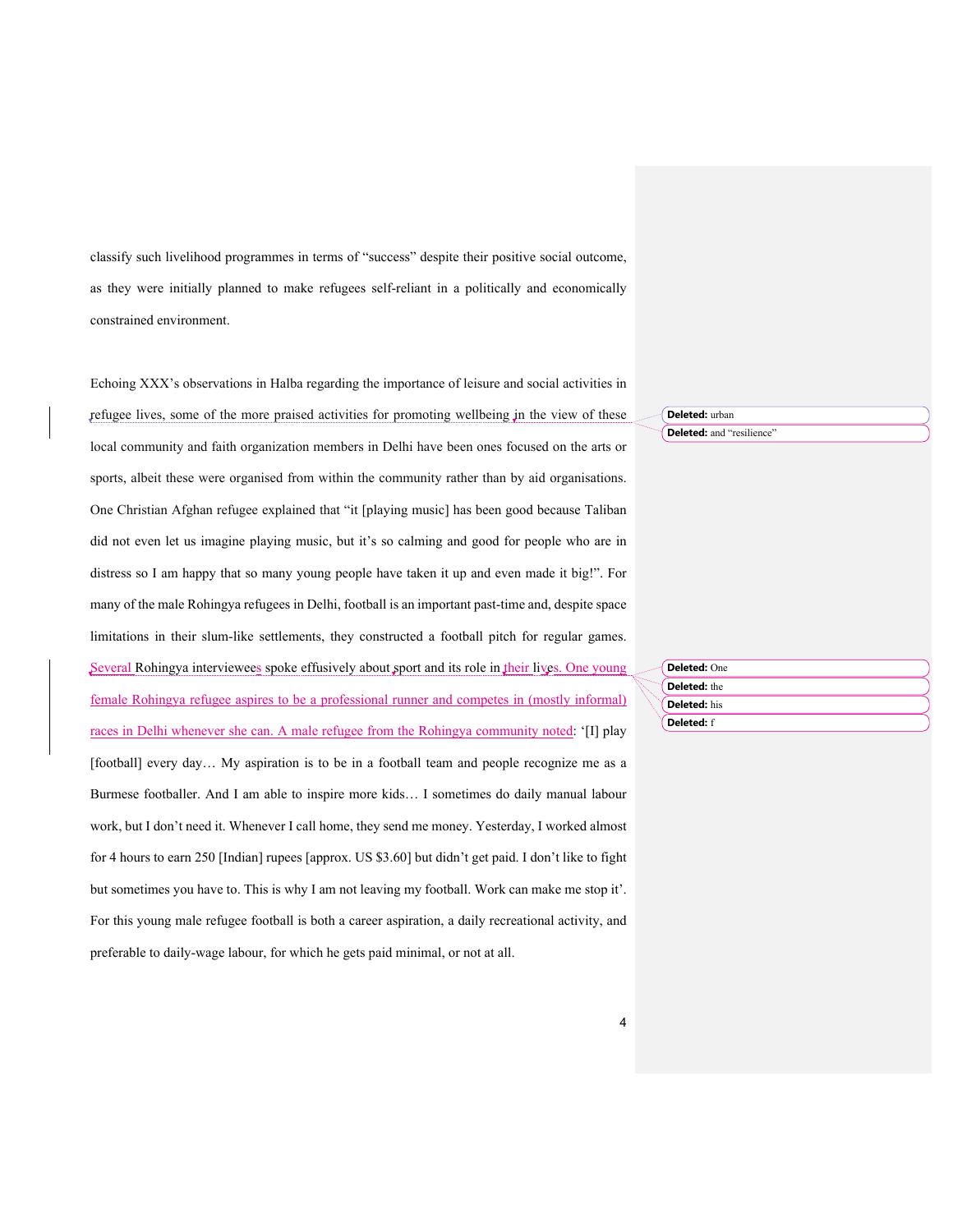classify such livelihood programmes in terms of "success" despite their positive social outcome, as they were initially planned to make refugees self-reliant in a politically and economically constrained environment.

Echoing XXX's observations in Halba regarding the importance of leisure and social activities in refugee lives, some of the more praised activities for promoting wellbeing in the view of these local community and faith organization members in Delhi have been ones focused on the arts or sports, albeit these were organised from within the community rather than by aid organisations. One Christian Afghan refugee explained that "it [playing music] has been good because Taliban did not even let us imagine playing music, but it's so calming and good for people who are in distress so I am happy that so many young people have taken it up and even made it big!". For many of the male Rohingya refugees in Delhi, football is an important past-time and, despite space limitations in their slum-like settlements, they constructed a football pitch for regular games. Several Rohingya interviewees spoke effusively about sport and its role in their lives. One young female Rohingya refugee aspires to be a professional runner and competes in (mostly informal) races in Delhi whenever she can. A male refugee from the Rohingya community noted: '[I] play [football] every day… My aspiration is to be in a football team and people recognize me as a Burmese footballer. And I am able to inspire more kids… I sometimes do daily manual labour work, but I don't need it. Whenever I call home, they send me money. Yesterday, I worked almost for 4 hours to earn 250 [Indian] rupees [approx. US \$3.60] but didn't get paid. I don't like to fight but sometimes you have to. This is why I am not leaving my football. Work can make me stop it'. For this young male refugee football is both a career aspiration, a daily recreational activity, and preferable to daily-wage labour, for which he gets paid minimal, or not at all.

**Deleted:** urban **Deleted:** and "resilience"

| Deleted: One        |  |
|---------------------|--|
| <b>Deleted:</b> the |  |
| <b>Deleted:</b> his |  |
| <b>Deleted: f</b>   |  |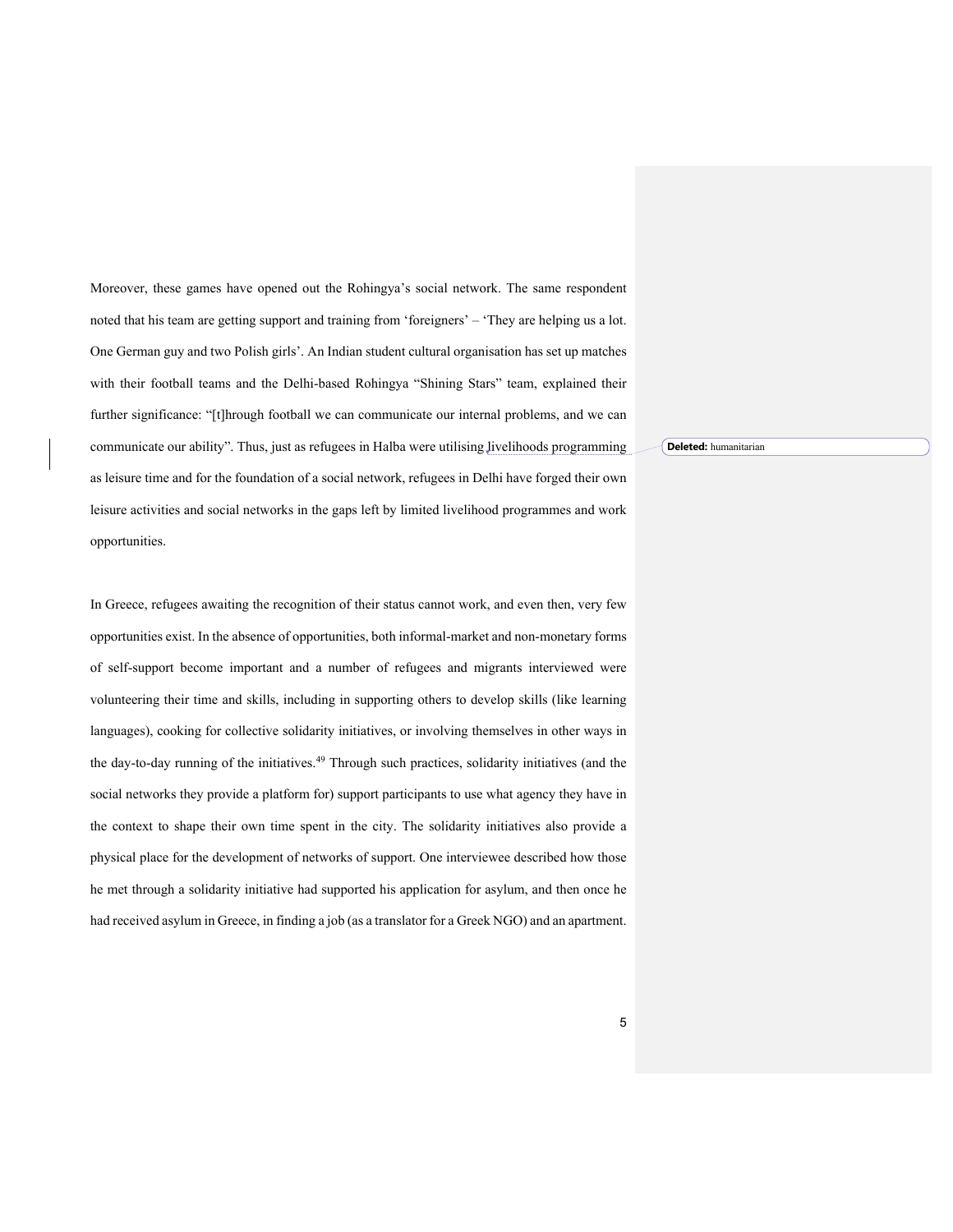Moreover, these games have opened out the Rohingya's social network. The same respondent noted that his team are getting support and training from 'foreigners' – 'They are helping us a lot. One German guy and two Polish girls'. An Indian student cultural organisation has set up matches with their football teams and the Delhi-based Rohingya "Shining Stars" team, explained their further significance: "[t]hrough football we can communicate our internal problems, and we can communicate our ability". Thus, just as refugees in Halba were utilising livelihoods programming as leisure time and for the foundation of a social network, refugees in Delhi have forged their own leisure activities and social networks in the gaps left by limited livelihood programmes and work opportunities.

In Greece, refugees awaiting the recognition of their status cannot work, and even then, very few opportunities exist. In the absence of opportunities, both informal-market and non-monetary forms of self-support become important and a number of refugees and migrants interviewed were volunteering their time and skills, including in supporting others to develop skills (like learning languages), cooking for collective solidarity initiatives, or involving themselves in other ways in the day-to-day running of the initiatives.<sup>49</sup> Through such practices, solidarity initiatives (and the social networks they provide a platform for) support participants to use what agency they have in the context to shape their own time spent in the city. The solidarity initiatives also provide a physical place for the development of networks of support. One interviewee described how those he met through a solidarity initiative had supported his application for asylum, and then once he had received asylum in Greece, in finding a job (as a translator for a Greek NGO) and an apartment. **Deleted:** humanitarian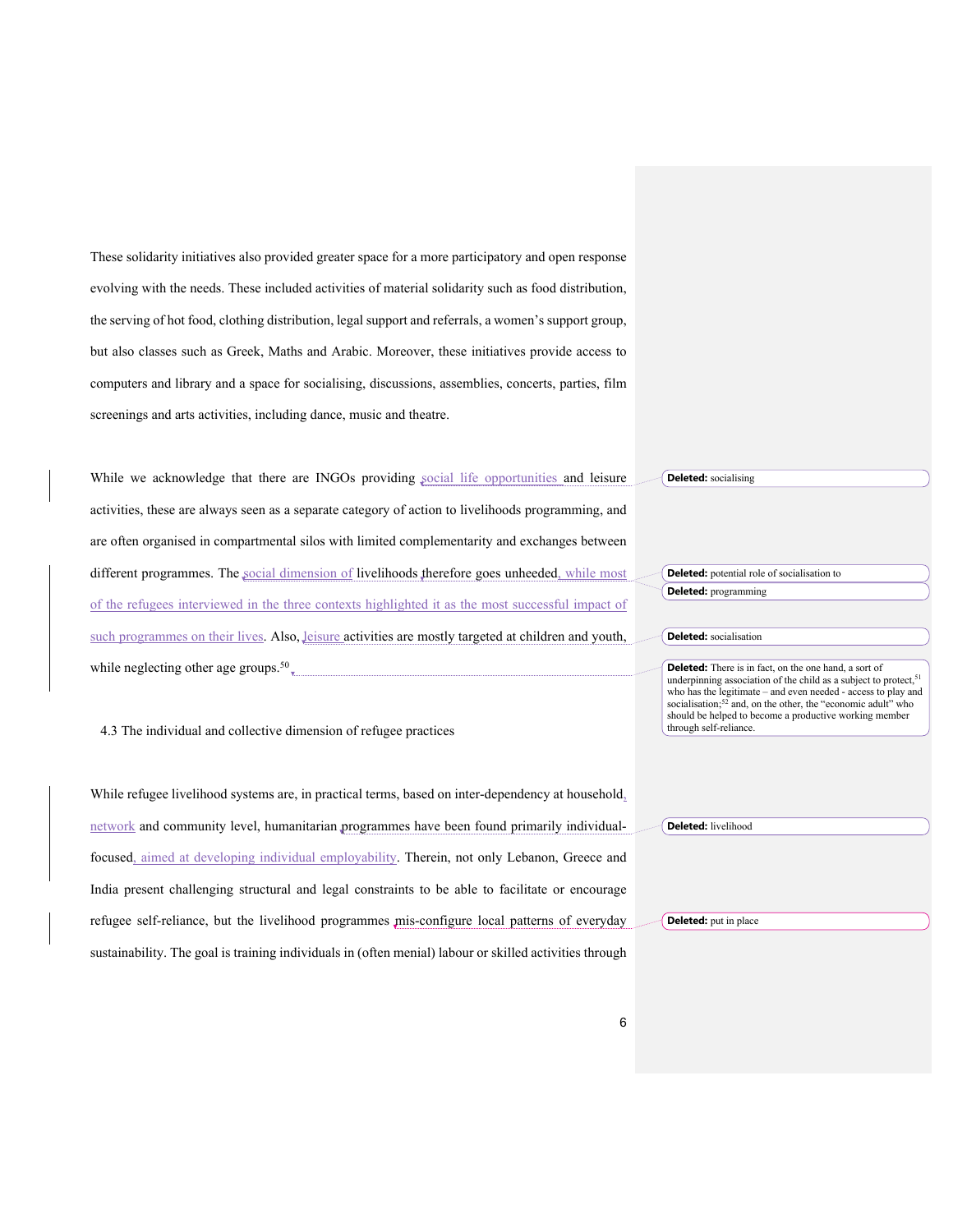These solidarity initiatives also provided greater space for a more participatory and open response evolving with the needs. These included activities of material solidarity such as food distribution, the serving of hot food, clothing distribution, legal support and referrals, a women's support group, but also classes such as Greek, Maths and Arabic. Moreover, these initiatives provide access to computers and library and a space for socialising, discussions, assemblies, concerts, parties, film screenings and arts activities, including dance, music and theatre.

While we acknowledge that there are INGOs providing social life opportunities and leisure activities, these are always seen as a separate category of action to livelihoods programming, and are often organised in compartmental silos with limited complementarity and exchanges between different programmes. The social dimension of livelihoods therefore goes unheeded, while most of the refugees interviewed in the three contexts highlighted it as the most successful impact of such programmes on their lives. Also, leisure activities are mostly targeted at children and youth, while neglecting other age groups.<sup>50</sup> $_{\text{v}}$ **Deleted:** socialising

4.3 The individual and collective dimension of refugee practices

While refugee livelihood systems are, in practical terms, based on inter-dependency at household, network and community level, humanitarian programmes have been found primarily individualfocused, aimed at developing individual employability. Therein, not only Lebanon, Greece and India present challenging structural and legal constraints to be able to facilitate or encourage refugee self-reliance, but the livelihood programmes mis-configure local patterns of everyday sustainability. The goal is training individuals in (often menial) labour or skilled activities through **Deleted:** livelihood **Deleted:** put in place

**Deleted:** potential role of socialisation to **Deleted:** programming

**Deleted:** socialisation

**Deleted:** There is in fact, on the one hand, a sort of underpinning association of the child as a subject to protect,<sup>51</sup> who has the legitimate – and even needed - access to play and socialisation;<sup>52</sup> and, on the other, the "economic adult" who should be helped to become a productive working member through self-reliance.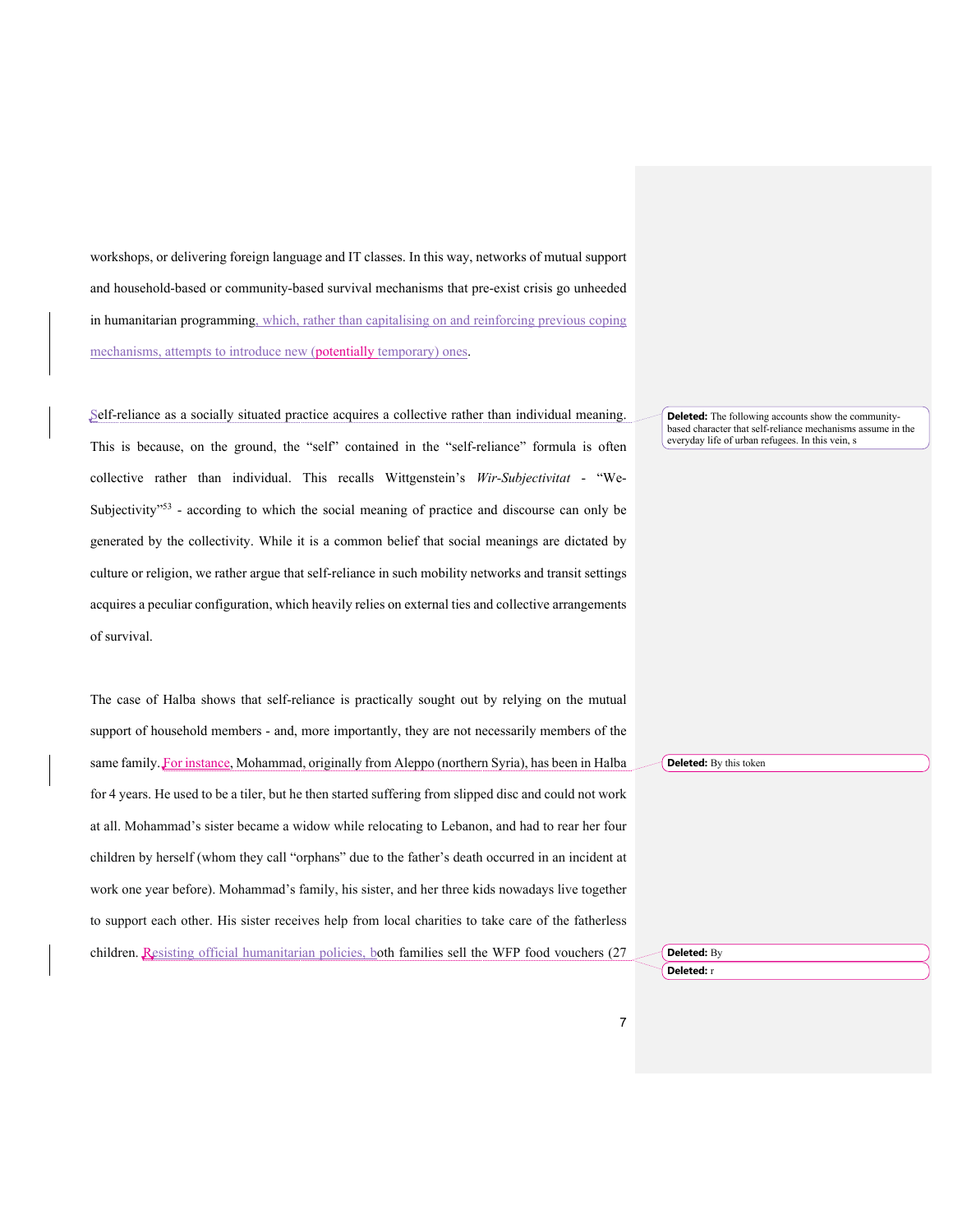workshops, or delivering foreign language and IT classes. In this way, networks of mutual support and household-based or community-based survival mechanisms that pre-exist crisis go unheeded in humanitarian programming, which, rather than capitalising on and reinforcing previous coping mechanisms, attempts to introduce new (potentially temporary) ones.

Self-reliance as a socially situated practice acquires a collective rather than individual meaning. This is because, on the ground, the "self" contained in the "self-reliance" formula is often collective rather than individual. This recalls Wittgenstein's *Wir-Subjectivitat* - "We-Subjectivity<sup>"53</sup> - according to which the social meaning of practice and discourse can only be generated by the collectivity. While it is a common belief that social meanings are dictated by culture or religion, we rather argue that self-reliance in such mobility networks and transit settings acquires a peculiar configuration, which heavily relies on external ties and collective arrangements of survival.

The case of Halba shows that self-reliance is practically sought out by relying on the mutual support of household members - and, more importantly, they are not necessarily members of the same family. For instance, Mohammad, originally from Aleppo (northern Syria), has been in Halba for 4 years. He used to be a tiler, but he then started suffering from slipped disc and could not work at all. Mohammad's sister became a widow while relocating to Lebanon, and had to rear her four children by herself (whom they call "orphans" due to the father's death occurred in an incident at work one year before). Mohammad's family, his sister, and her three kids nowadays live together to support each other. His sister receives help from local charities to take care of the fatherless children. Resisting official humanitarian policies, both families sell the WFP food vouchers (27

**Deleted:** The following accounts show the communitybased character that self-reliance mechanisms assume in the everyday life of urban refugees. In this vein, s

**Deleted:** By this token

**Deleted:** By **Deleted:** r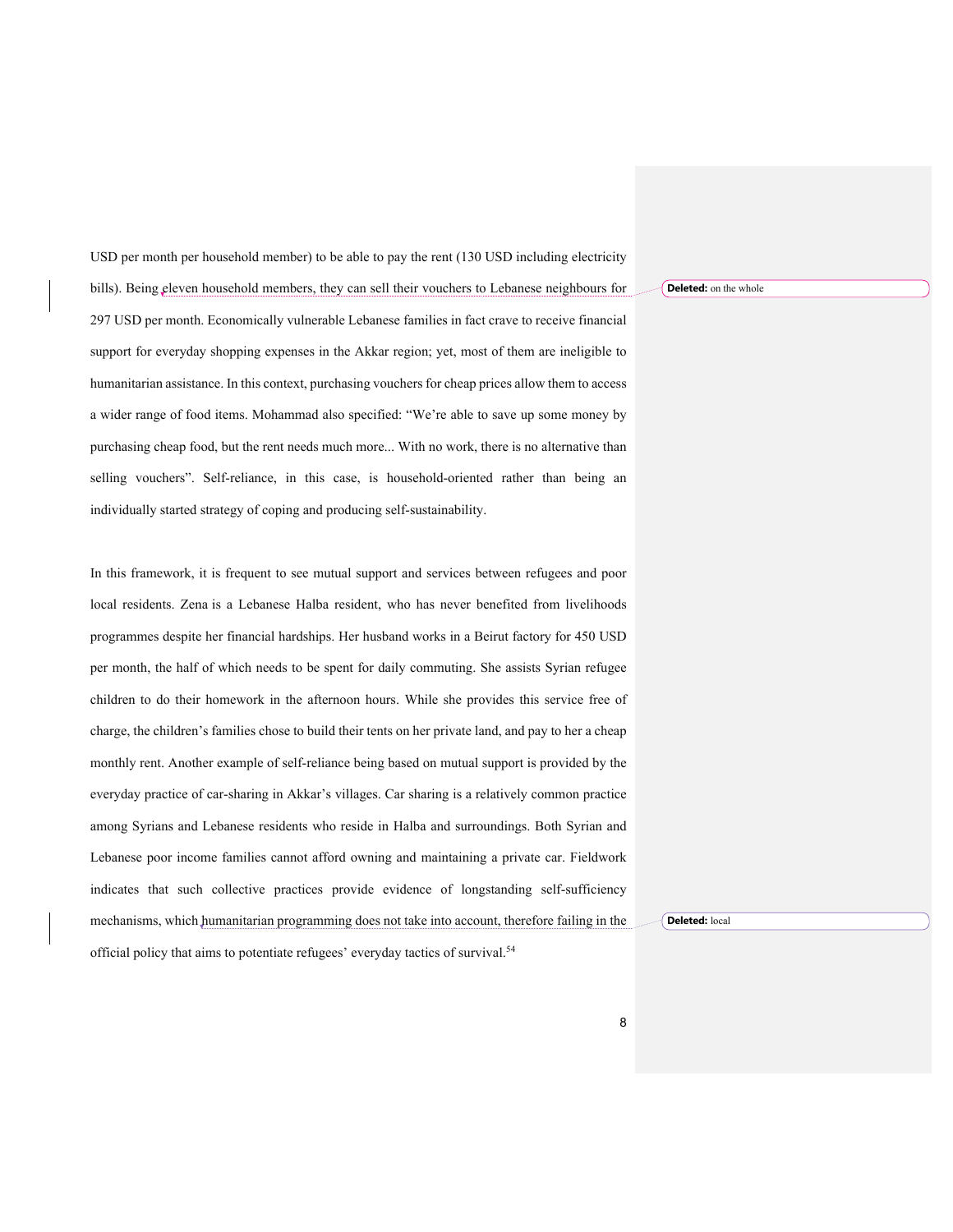USD per month per household member) to be able to pay the rent (130 USD including electricity bills). Being eleven household members, they can sell their vouchers to Lebanese neighbours for 297 USD per month. Economically vulnerable Lebanese families in fact crave to receive financial support for everyday shopping expenses in the Akkar region; yet, most of them are ineligible to humanitarian assistance. In this context, purchasing vouchers for cheap prices allow them to access a wider range of food items. Mohammad also specified: "We're able to save up some money by purchasing cheap food, but the rent needs much more... With no work, there is no alternative than selling vouchers". Self-reliance, in this case, is household-oriented rather than being an individually started strategy of coping and producing self-sustainability.

In this framework, it is frequent to see mutual support and services between refugees and poor local residents. Zena is a Lebanese Halba resident, who has never benefited from livelihoods programmes despite her financial hardships. Her husband works in a Beirut factory for 450 USD per month, the half of which needs to be spent for daily commuting. She assists Syrian refugee children to do their homework in the afternoon hours. While she provides this service free of charge, the children's families chose to build their tents on her private land, and pay to her a cheap monthly rent. Another example of self-reliance being based on mutual support is provided by the everyday practice of car-sharing in Akkar's villages. Car sharing is a relatively common practice among Syrians and Lebanese residents who reside in Halba and surroundings. Both Syrian and Lebanese poor income families cannot afford owning and maintaining a private car. Fieldwork indicates that such collective practices provide evidence of longstanding self-sufficiency mechanisms, which humanitarian programming does not take into account, therefore failing in the official policy that aims to potentiate refugees' everyday tactics of survival.54

**Deleted:** on the whole

**Deleted:** local

8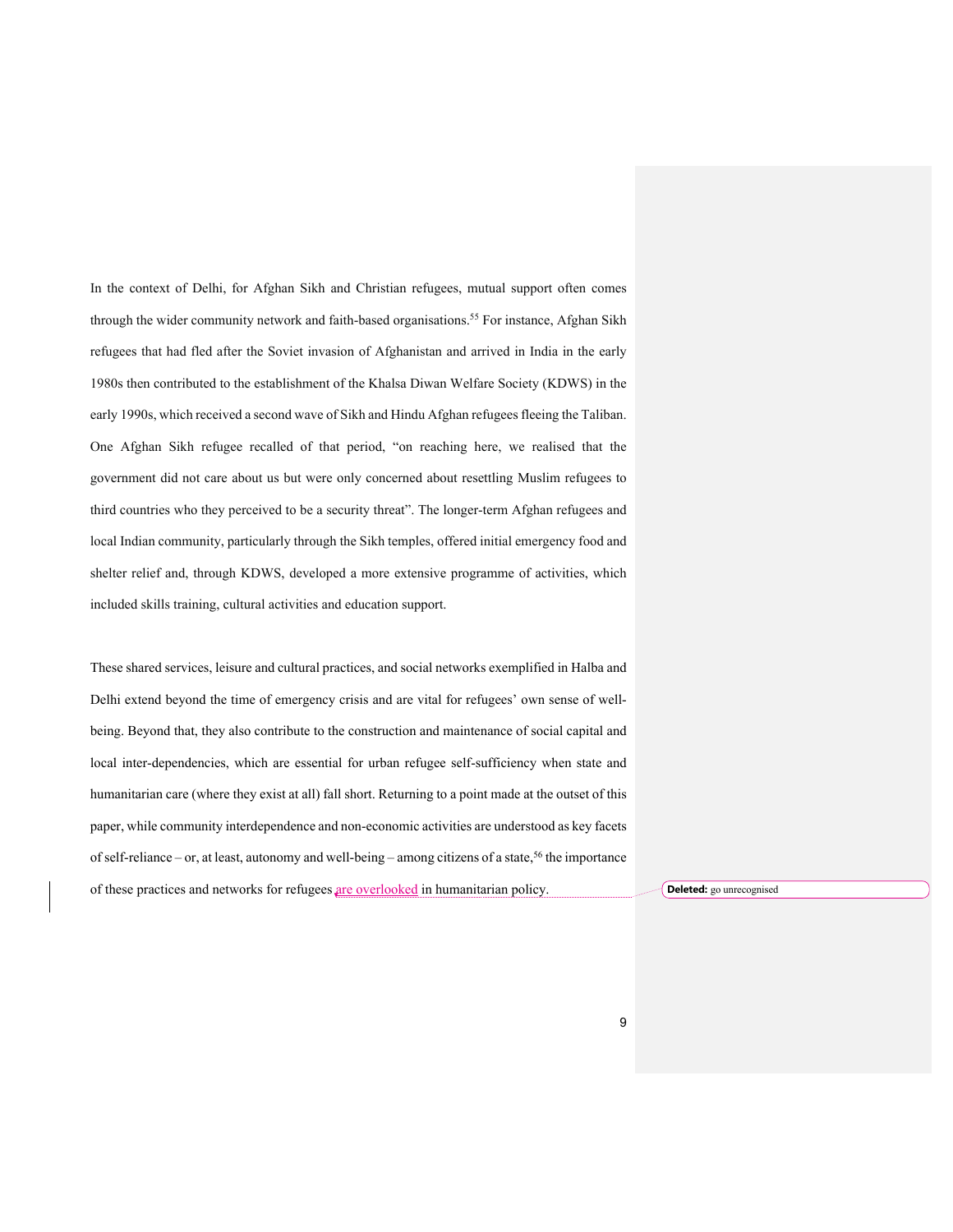In the context of Delhi, for Afghan Sikh and Christian refugees, mutual support often comes through the wider community network and faith-based organisations.<sup>55</sup> For instance, Afghan Sikh refugees that had fled after the Soviet invasion of Afghanistan and arrived in India in the early 1980s then contributed to the establishment of the Khalsa Diwan Welfare Society (KDWS) in the early 1990s, which received a second wave of Sikh and Hindu Afghan refugees fleeing the Taliban. One Afghan Sikh refugee recalled of that period, "on reaching here, we realised that the government did not care about us but were only concerned about resettling Muslim refugees to third countries who they perceived to be a security threat". The longer-term Afghan refugees and local Indian community, particularly through the Sikh temples, offered initial emergency food and shelter relief and, through KDWS, developed a more extensive programme of activities, which included skills training, cultural activities and education support.

These shared services, leisure and cultural practices, and social networks exemplified in Halba and Delhi extend beyond the time of emergency crisis and are vital for refugees' own sense of wellbeing. Beyond that, they also contribute to the construction and maintenance of social capital and local inter-dependencies, which are essential for urban refugee self-sufficiency when state and humanitarian care (where they exist at all) fall short. Returning to a point made at the outset of this paper, while community interdependence and non-economic activities are understood as key facets of self-reliance – or, at least, autonomy and well-being – among citizens of a state,<sup>56</sup> the importance of these practices and networks for refugees are overlooked in humanitarian policy. **Deleted:** go unrecognised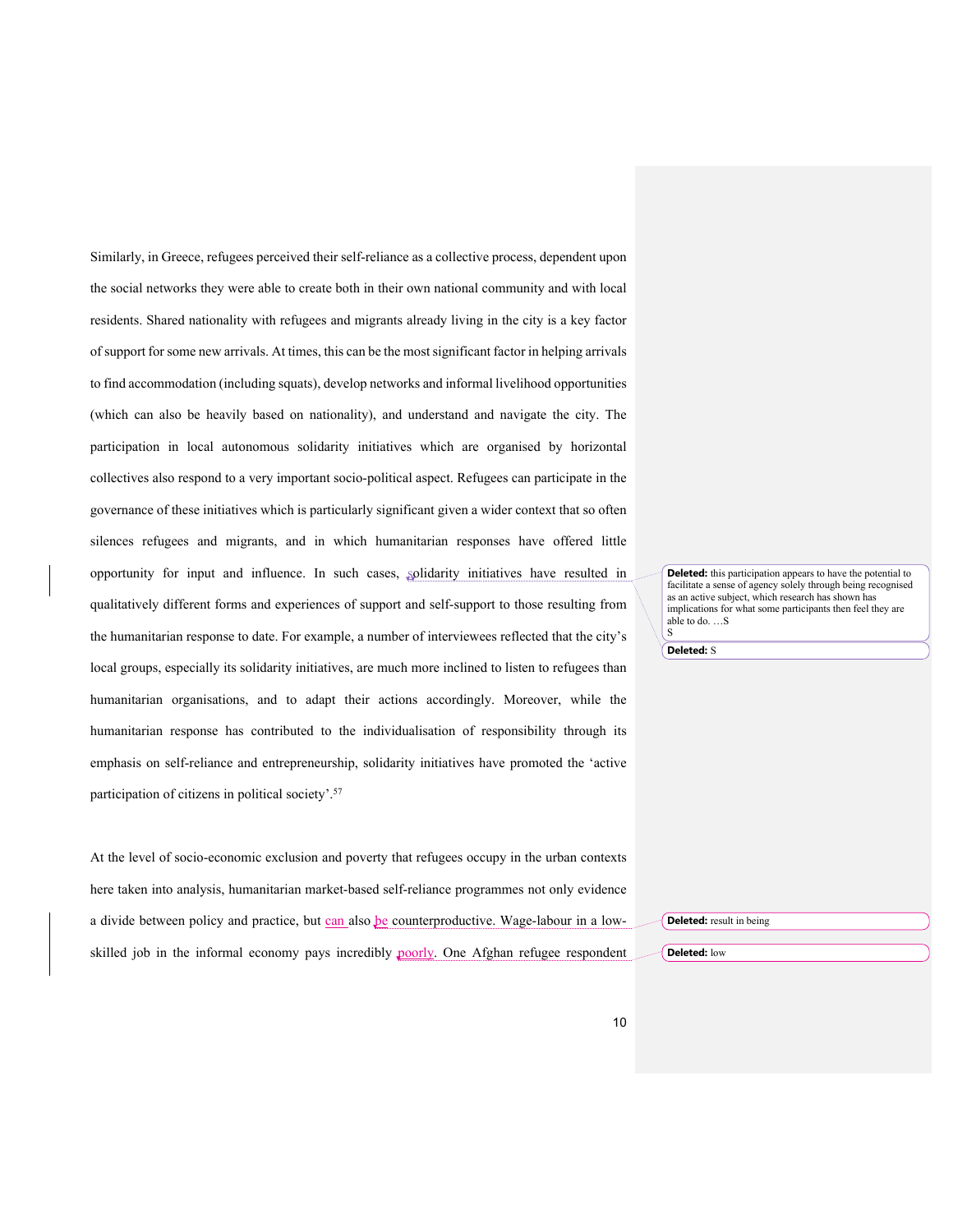Similarly, in Greece, refugees perceived their self-reliance as a collective process, dependent upon the social networks they were able to create both in their own national community and with local residents. Shared nationality with refugees and migrants already living in the city is a key factor of support for some new arrivals. At times, this can be the most significant factor in helping arrivals to find accommodation (including squats), develop networks and informal livelihood opportunities (which can also be heavily based on nationality), and understand and navigate the city. The participation in local autonomous solidarity initiatives which are organised by horizontal collectives also respond to a very important socio-political aspect. Refugees can participate in the governance of these initiatives which is particularly significant given a wider context that so often silences refugees and migrants, and in which humanitarian responses have offered little opportunity for input and influence. In such cases, solidarity initiatives have resulted in qualitatively different forms and experiences of support and self-support to those resulting from the humanitarian response to date. For example, a number of interviewees reflected that the city's local groups, especially its solidarity initiatives, are much more inclined to listen to refugees than humanitarian organisations, and to adapt their actions accordingly. Moreover, while the humanitarian response has contributed to the individualisation of responsibility through its emphasis on self-reliance and entrepreneurship, solidarity initiatives have promoted the 'active participation of citizens in political society'.57

At the level of socio-economic exclusion and poverty that refugees occupy in the urban contexts here taken into analysis, humanitarian market-based self-reliance programmes not only evidence a divide between policy and practice, but can also be counterproductive. Wage-labour in a lowskilled job in the informal economy pays incredibly poorly. One Afghan refugee respondent **Deleted:** this participation appears to have the potential to facilitate a sense of agency solely through being recognised as an active subject, which research has shown has implications for what some participants then feel they are able to do. …S

**Deleted:** S

S

**Deleted:** result in being **Deleted:** low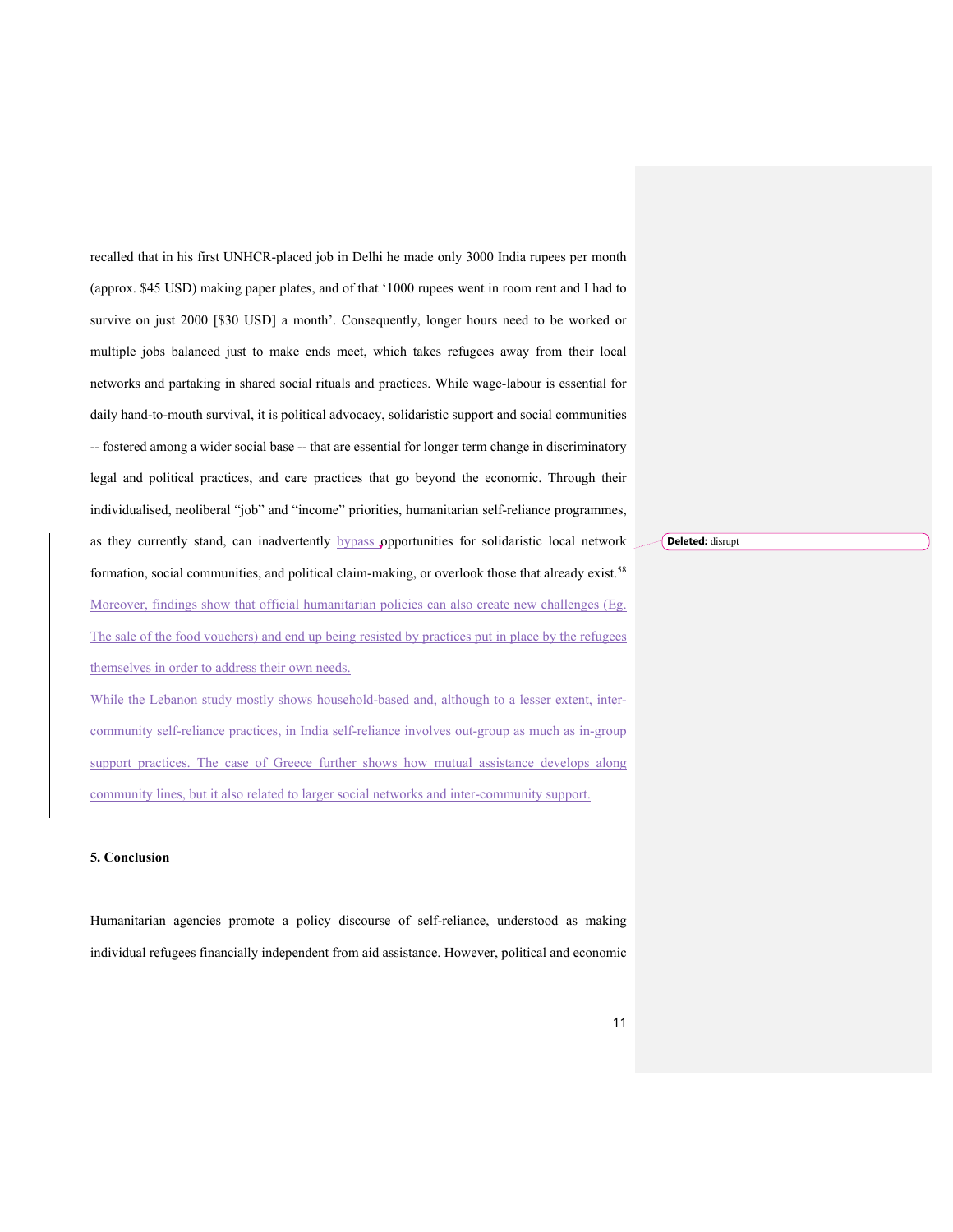recalled that in his first UNHCR-placed job in Delhi he made only 3000 India rupees per month (approx. \$45 USD) making paper plates, and of that '1000 rupees went in room rent and I had to survive on just 2000 [\$30 USD] a month'. Consequently, longer hours need to be worked or multiple jobs balanced just to make ends meet, which takes refugees away from their local networks and partaking in shared social rituals and practices. While wage-labour is essential for daily hand-to-mouth survival, it is political advocacy, solidaristic support and social communities -- fostered among a wider social base -- that are essential for longer term change in discriminatory legal and political practices, and care practices that go beyond the economic. Through their individualised, neoliberal "job" and "income" priorities, humanitarian self-reliance programmes, as they currently stand, can inadvertently bypass opportunities for solidaristic local network formation, social communities, and political claim-making, or overlook those that already exist.<sup>58</sup> Moreover, findings show that official humanitarian policies can also create new challenges (Eg. The sale of the food vouchers) and end up being resisted by practices put in place by the refugees themselves in order to address their own needs.

While the Lebanon study mostly shows household-based and, although to a lesser extent, intercommunity self-reliance practices, in India self-reliance involves out-group as much as in-group support practices. The case of Greece further shows how mutual assistance develops along community lines, but it also related to larger social networks and inter-community support.

### **5. Conclusion**

Humanitarian agencies promote a policy discourse of self-reliance, understood as making individual refugees financially independent from aid assistance. However, political and economic

**Deleted:** disrupt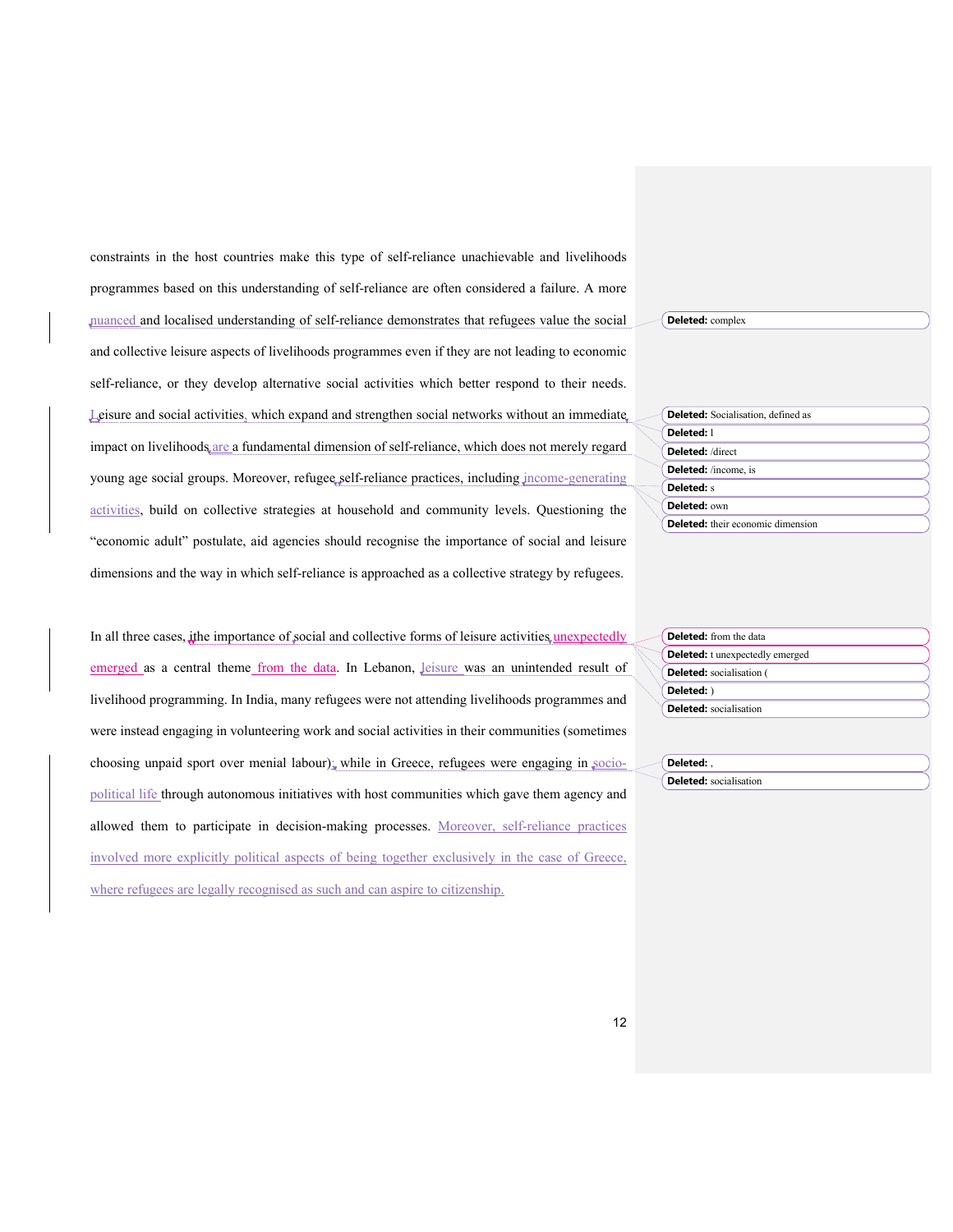constraints in the host countries make this type of self-reliance unachievable and livelihoods programmes based on this understanding of self-reliance are often considered a failure. A more nuanced and localised understanding of self-reliance demonstrates that refugees value the social and collective leisure aspects of livelihoods programmes even if they are not leading to economic self-reliance, or they develop alternative social activities which better respond to their needs. Leisure and social activities, which expand and strengthen social networks without an immediate, impact on livelihoods are a fundamental dimension of self-reliance, which does not merely regard young age social groups. Moreover, refugee self-reliance practices, including income-generating activities, build on collective strategies at household and community levels. Questioning the "economic adult" postulate, aid agencies should recognise the importance of social and leisure dimensions and the way in which self-reliance is approached as a collective strategy by refugees.

In all three cases, *i*the importance of social and collective forms of leisure activities, unexpectedly emerged as a central theme from the data. In Lebanon, leisure was an unintended result of livelihood programming. In India, many refugees were not attending livelihoods programmes and were instead engaging in volunteering work and social activities in their communities (sometimes choosing unpaid sport over menial labour); while in Greece, refugees were engaging in  $\text{soci}$ political life through autonomous initiatives with host communities which gave them agency and allowed them to participate in decision-making processes. Moreover, self-reliance practices involved more explicitly political aspects of being together exclusively in the case of Greece, where refugees are legally recognised as such and can aspire to citizenship.

**Deleted:** complex

|                             | <b>Deleted:</b> Socialisation, defined as |
|-----------------------------|-------------------------------------------|
| Deleted: 1                  |                                           |
| Deleted: /direct            |                                           |
| <b>Deleted:</b> /income, is |                                           |
| <b>Deleted:</b> s           |                                           |
| Deleted: own                |                                           |
|                             | <b>Deleted:</b> their economic dimension  |

|  | <b>Deleted:</b> from the data          |
|--|----------------------------------------|
|  | <b>Deleted:</b> t unexpectedly emerged |
|  | <b>Deleted:</b> socialisation (        |
|  | Deleted: )                             |
|  | <b>Deleted:</b> socialisation          |

| and 1 | Deleted:                      |
|-------|-------------------------------|
|       | <b>Deleted:</b> socialisation |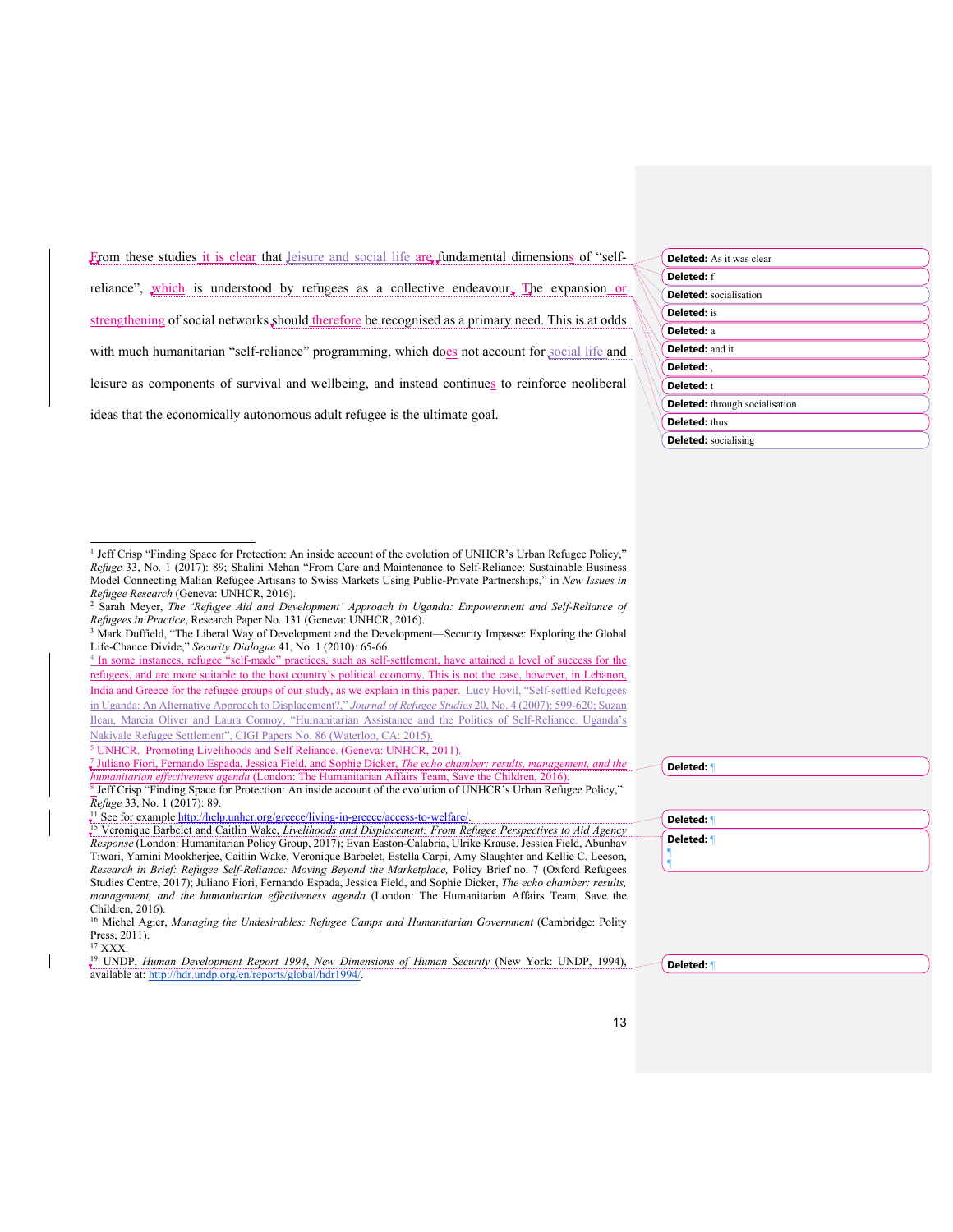| From these studies it is clear that leisure and social life are fundamental dimensions of "self-   |  |  |  |  |
|----------------------------------------------------------------------------------------------------|--|--|--|--|
|                                                                                                    |  |  |  |  |
| reliance", which is understood by refugees as a collective endeavour, The expansion or             |  |  |  |  |
| strengthening of social networks should therefore be recognised as a primary need. This is at odds |  |  |  |  |
| with much humanitarian "self-reliance" programming, which does not account for social life and     |  |  |  |  |
| leisure as components of survival and wellbeing, and instead continues to reinforce neoliberal     |  |  |  |  |
| ideas that the economically autonomous adult refugee is the ultimate goal.                         |  |  |  |  |

| <b>Deleted:</b> As it was clear       |
|---------------------------------------|
| <b>Deleted:</b> f                     |
| <b>Deleted:</b> socialisation         |
| <b>Deleted:</b> is                    |
| Deleted: a                            |
| <b>Deleted: and it</b>                |
| Deleted: .                            |
| Deleted: t                            |
| <b>Deleted:</b> through socialisation |
| <b>Deleted:</b> thus                  |
| <b>Deleted:</b> socialising           |

<sup>4</sup> In some instances, refugee "self-made" practices, such as self-settlement, have attained a level of success for the refugees, and are more suitable to the host country's political economy. This is not the case, however, in Lebanon, India and Greece for the refugee groups of our study, as we explain in this paper. Lucy Hovil, "Self-settled Refugees in Uganda: An Alternative Approach to Displacement?," *Journal of Refugee Studies* 20, No. 4 (2007): 599-620; Suzan Ilcan, Marcia Oliver and Laura Connoy, "Humanitarian Assistance and the Politics of Self-Reliance. Uganda's Nakivale Refugee Settlement", CIGI Papers No. 86 (Waterloo, CA: 2015).

<sup>5</sup> UNHCR. Promoting Livelihoods and Self Reliance. (Geneva: UNHCR, 2011).

<sup>7</sup> Juliano Fiori, Fernando Espada, Jessica Field, and Sophie Dicker, *The echo chamber: results, management, and the humanitarian effectiveness agenda* (London: The Humanitarian Affairs Team, Save the Children, 2016). <sup>8</sup> Jeff Crisp "Finding Space for Protection: An inside account of the evolution of UNHCR's Urban Refugee Policy,"

<sup>11</sup> See for example <u>http://help.unhcr.org/greece/living-in-greece/access-to-welfare/.<br><sup>15</sup> Veronique Barbelet and Caitlin Wake, *Livelihoods and Displacement: From Refugee Perspectives to Aid Agency*</u> *Response* (London: Humanitarian Policy Group, 2017); Evan Easton-Calabria, Ulrike Krause, Jessica Field, Abunhav Tiwari, Yamini Mookherjee, Caitlin Wake, Veronique Barbelet, Estella Carpi, Amy Slaughter and Kellie C. Leeson, *Research in Brief: Refugee Self-Reliance: Moving Beyond the Marketplace,* Policy Brief no. 7 (Oxford Refugees Studies Centre, 2017); Juliano Fiori, Fernando Espada, Jessica Field, and Sophie Dicker, *The echo chamber: results, management, and the humanitarian effectiveness agenda* (London: The Humanitarian Affairs Team, Save the Children, 2016).

<sup>17</sup> XXX.

| Deleted: 1 |  |  |
|------------|--|--|
| Deleted: ¶ |  |  |
|            |  |  |

**Deleted:** ¶

13

<sup>&</sup>lt;sup>1</sup> Jeff Crisp "Finding Space for Protection: An inside account of the evolution of UNHCR's Urban Refugee Policy," *Refuge* 33, No. 1 (2017): 89; Shalini Mehan "From Care and Maintenance to Self-Reliance: Sustainable Business Model Connecting Malian Refugee Artisans to Swiss Markets Using Public-Private Partnerships," in *New Issues in Refugee Research* (Geneva: UNHCR, 2016).

<sup>2</sup> Sarah Meyer, *The 'Refugee Aid and Development' Approach in Uganda: Empowerment and Self-Reliance of Refugees in Practice*, Research Paper No. 131 (Geneva: UNHCR, 2016).

<sup>3</sup> Mark Duffield, "The Liberal Way of Development and the Development—Security Impasse: Exploring the Global Life-Chance Divide," *Security Dialogue* 41, No. 1 (2010): 65-66.

*Refuge* 33, No. 1 (2017): 89.

<sup>&</sup>lt;sup>16</sup> Michel Agier, *Managing the Undesirables: Refugee Camps and Humanitarian Government* (Cambridge: Polity Press, 2011).

<sup>19</sup> UNDP, *Human Development Report 1994*, *New Dimensions of Human Security* (New York: UNDP, 1994), available at: http://hdr.undp.org/en/reports/global/hdr1994/. **Deleted:** ¶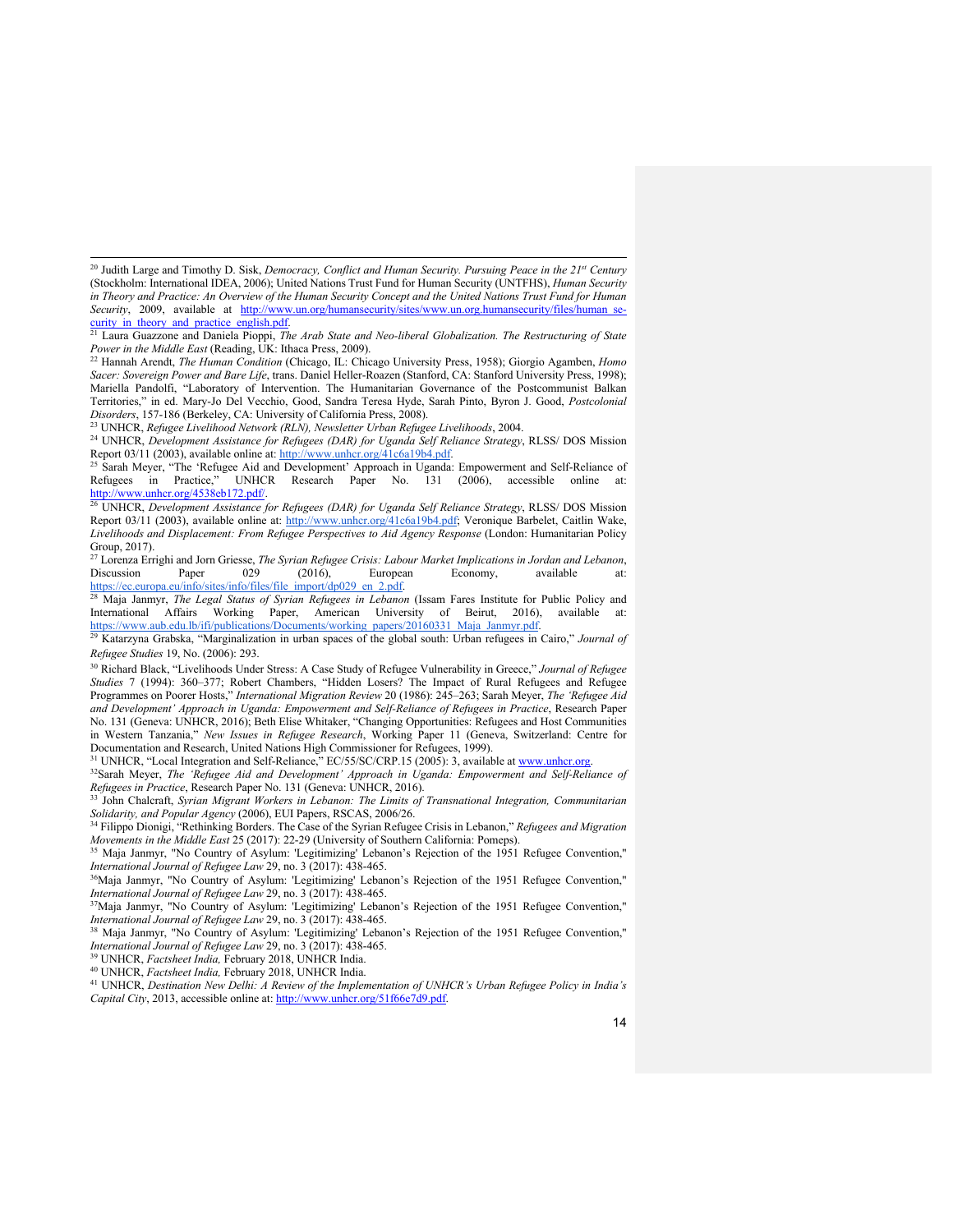Report 03/11 (2003), available online at: http://www.unhcr.org/41c6a19b4.pdf; Veronique Barbelet, Caitlin Wake, *Livelihoods and Displacement: From Refugee Perspectives to Aid Agency Response* (London: Humanitarian Policy Group, 2017).

<sup>31</sup> UNHCR, "Local Integration and Self-Reliance," EC/55/SC/CRP.15 (2005): 3, available at www.unhcr.org.

<sup>32</sup>Sarah Meyer, *The 'Refugee Aid and Development' Approach in Uganda: Empowerment and Self-Reliance of Refugees in Practice, Research Paper No. 131 (Geneva: UNHCR, 2016).* 

<sup>33</sup> John Chalcraft, *Syrian Migrant Workers in Lebanon: The Limits of Transnational Integration, Communitarian Solidarity, and Popular Agency* (2006), EUI Papers, RSCAS, 2006/26.

<sup>34</sup> Filippo Dionigi, "Rethinking Borders. The Case of the Syrian Refugee Crisis in Lebanon," *Refugees and Migration Movements in the Middle East* 25 (2017): 22-29 (University of Southern California: Pomeps).

<sup>35</sup> Maja Janmyr, "No Country of Asylum: 'Legitimizing' Lebanon's Rejection of the 1951 Refugee Convention," *International Journal of Refugee Law* 29, no. 3 (2017): 438-465.

36Maja Janmyr, "No Country of Asylum: 'Legitimizing' Lebanon's Rejection of the 1951 Refugee Convention," *International Journal of Refugee Law* 29, no. 3 (2017): 438-465.

37Maja Janmyr, "No Country of Asylum: 'Legitimizing' Lebanon's Rejection of the 1951 Refugee Convention," *International Journal of Refugee Law* 29, no. 3 (2017): 438-465.

<sup>38</sup> Maja Janmyr, "No Country of Asylum: 'Legitimizing' Lebanon's Rejection of the 1951 Refugee Convention," *International Journal of Refugee Law* 29, no. 3 (2017): 438-465.

<sup>39</sup> UNHCR, *Factsheet India,* February 2018, UNHCR India.

<sup>40</sup> UNHCR, *Factsheet India,* February 2018, UNHCR India.

<sup>41</sup> UNHCR, *Destination New Delhi: A Review of the Implementation of UNHCR's Urban Refugee Policy in India's Capital City*, 2013, accessible online at: http://www.unhcr.org/51f66e7d9.pdf.

<sup>&</sup>lt;sup>20</sup> Judith Large and Timothy D. Sisk, *Democracy, Conflict and Human Security. Pursuing Peace in the 21<sup>st</sup> Century* (Stockholm: International IDEA, 2006); United Nations Trust Fund for Human Security (UNTFHS), *Human Security in Theory and Practice: An Overview of the Human Security Concept and the United Nations Trust Fund for Human Security*, 2009, available at http://www.un.org/humansecurity/sites/www.un.org.humansecurity/files/human\_security in theory and practice english.pdf. <sup>21</sup> Laura Guazzone and Daniela Pioppi, *The Arab State and Neo-liberal Globalization. The Restructuring of State* 

*Power in the Middle East* (Reading, UK: Ithaca Press, 2009).

<sup>22</sup> Hannah Arendt, *The Human Condition* (Chicago, IL: Chicago University Press, 1958); Giorgio Agamben, *Homo Sacer: Sovereign Power and Bare Life*, trans. Daniel Heller-Roazen (Stanford, CA: Stanford University Press, 1998); Mariella Pandolfi, "Laboratory of Intervention. The Humanitarian Governance of the Postcommunist Balkan Territories," in ed. Mary-Jo Del Vecchio, Good, Sandra Teresa Hyde, Sarah Pinto, Byron J. Good, *Postcolonial Disorders*, 157-186 (Berkeley, CA: University of California Press, 2008).

<sup>23</sup> UNHCR, *Refugee Livelihood Network (RLN), Newsletter Urban Refugee Livelihoods*, 2004.

<sup>&</sup>lt;sup>24</sup> UNHCR, *Development Assistance for Refugees (DAR) for Uganda Self Reliance Strategy*, RLSS/ DOS Mission Report 03/11 (2003), available online at: http://www.unhcr.org/41c6a19b4.pdf.<br><sup>25</sup> Sarah Meyer, "The 'Refugee Aid and Development' Approach in Uganda: Empowerment and Self-Reliance of

Refugees in Practice," UNHCR Research Paper No. 131 (2006), accessible online at: http://www.unhcr.org/4538eb172.pdf/.<br><sup>26</sup> UNHCR, *Development Assistance for Refugees (DAR) for Uganda Self Reliance Strategy*, RLSS/ DOS Mission

<sup>27</sup> Lorenza Errighi and Jorn Griesse, *The Syrian Refugee Crisis: Labour Market Implications in Jordan and Lebanon*, Discussion Paper 029 (2016), European Economy, available<br>
https://ec.europa.eu/info/sites/info/files/file\_import/dp029\_en\_2.pdf.<br>
28 Maia January The Legal Statistics is properly and the contract of the contract of the co

Maja Janmyr, *The Legal Status of Syrian Refugees in Lebanon* (Issam Fares Institute for Public Policy and International Affairs Working Paper, American University of Beirut, 2016), available at:<br>https://www.aub.edu.lb/ifi/publications/Documents/working papers/20160331 Maja Janmyr.pdf.

<sup>&</sup>lt;sup>29</sup> Katarzyna Grabska, "Marginalization in urban spaces of the global south: Urban refugees in Cairo," *Journal of Refugee Studies* 19, No. (2006): 293.

<sup>30</sup> Richard Black, "Livelihoods Under Stress: A Case Study of Refugee Vulnerability in Greece," *Journal of Refugee Studies* 7 (1994): 360–377; Robert Chambers, "Hidden Losers? The Impact of Rural Refugees and Refugee Programmes on Poorer Hosts," *International Migration Review* 20 (1986): 245–263; Sarah Meyer, *The 'Refugee Aid and Development' Approach in Uganda: Empowerment and Self-Reliance of Refugees in Practice*, Research Paper No. 131 (Geneva: UNHCR, 2016); Beth Elise Whitaker, "Changing Opportunities: Refugees and Host Communities in Western Tanzania," *New Issues in Refugee Research*, Working Paper 11 (Geneva, Switzerland: Centre for Documentation and Research, United Nations High Commissioner for Refugees, 1999).